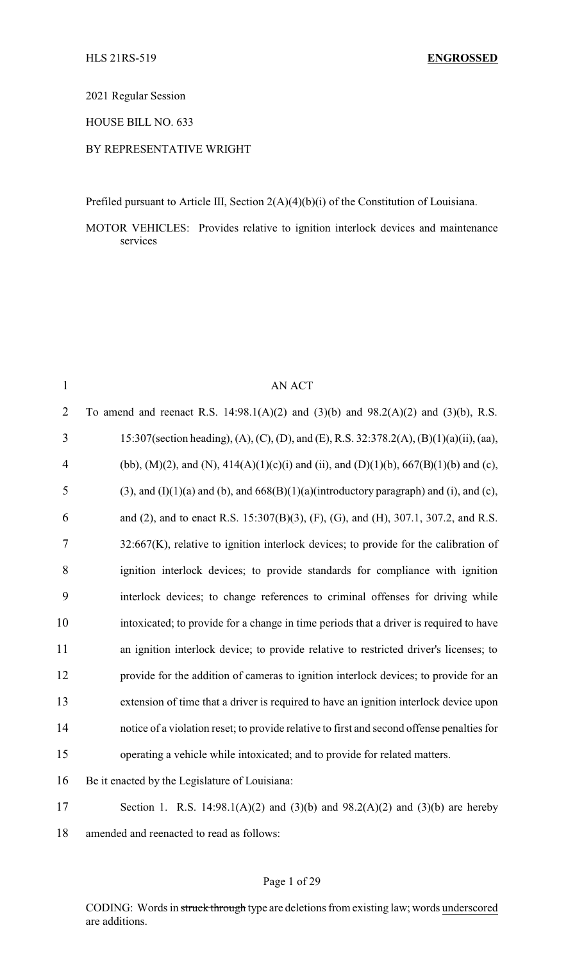2021 Regular Session

HOUSE BILL NO. 633

### BY REPRESENTATIVE WRIGHT

Prefiled pursuant to Article III, Section 2(A)(4)(b)(i) of the Constitution of Louisiana.

MOTOR VEHICLES: Provides relative to ignition interlock devices and maintenance services

| $\mathbf{1}$   | <b>AN ACT</b>                                                                                     |
|----------------|---------------------------------------------------------------------------------------------------|
| $\overline{2}$ | To amend and reenact R.S. 14:98.1(A)(2) and (3)(b) and 98.2(A)(2) and (3)(b), R.S.                |
| 3              | 15:307(section heading), (A), (C), (D), and (E), R.S. 32:378.2(A), (B)(1)(a)(ii), (aa),           |
| $\overline{4}$ | (bb), (M)(2), and (N), $414(A)(1)(c)(i)$ and (ii), and (D)(1)(b), $667(B)(1)(b)$ and (c),         |
| 5              | $(3)$ , and $(I)(1)(a)$ and $(b)$ , and $668(B)(1)(a)$ (introductory paragraph) and (i), and (c), |
| 6              | and (2), and to enact R.S. 15:307(B)(3), (F), (G), and (H), 307.1, 307.2, and R.S.                |
| 7              | $32:667(K)$ , relative to ignition interlock devices; to provide for the calibration of           |
| 8              | ignition interlock devices; to provide standards for compliance with ignition                     |
| 9              | interlock devices; to change references to criminal offenses for driving while                    |
| 10             | intoxicated; to provide for a change in time periods that a driver is required to have            |
| 11             | an ignition interlock device; to provide relative to restricted driver's licenses; to             |
| 12             | provide for the addition of cameras to ignition interlock devices; to provide for an              |
| 13             | extension of time that a driver is required to have an ignition interlock device upon             |
| 14             | notice of a violation reset; to provide relative to first and second offense penalties for        |
| 15             | operating a vehicle while intoxicated; and to provide for related matters.                        |
| 16             | Be it enacted by the Legislature of Louisiana:                                                    |
| 17             | Section 1. R.S. 14:98.1(A)(2) and (3)(b) and 98.2(A)(2) and (3)(b) are hereby                     |
| 18             | amended and reenacted to read as follows:                                                         |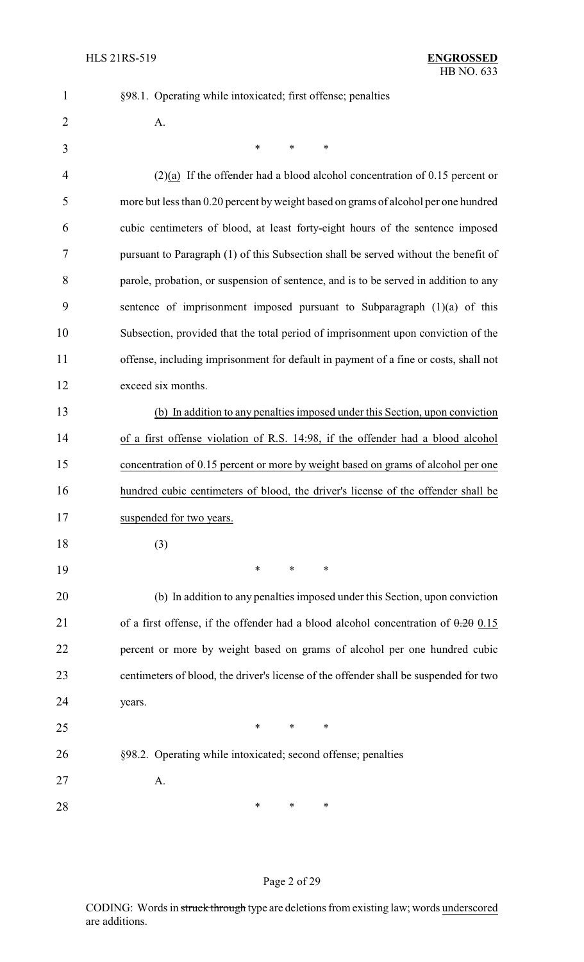§98.1. Operating while intoxicated; first offense; penalties

| $\overline{2}$ | A.                                                                                    |
|----------------|---------------------------------------------------------------------------------------|
| 3              | $\ast$<br>$\ast$<br>$\ast$                                                            |
| 4              | $(2)(a)$ If the offender had a blood alcohol concentration of 0.15 percent or         |
| 5              | more but less than 0.20 percent by weight based on grams of alcohol per one hundred   |
| 6              | cubic centimeters of blood, at least forty-eight hours of the sentence imposed        |
| 7              | pursuant to Paragraph (1) of this Subsection shall be served without the benefit of   |
| 8              | parole, probation, or suspension of sentence, and is to be served in addition to any  |
| 9              | sentence of imprisonment imposed pursuant to Subparagraph $(1)(a)$ of this            |
| 10             | Subsection, provided that the total period of imprisonment upon conviction of the     |
| 11             | offense, including imprisonment for default in payment of a fine or costs, shall not  |
| 12             | exceed six months.                                                                    |
| 13             | (b) In addition to any penalties imposed under this Section, upon conviction          |
| 14             | of a first offense violation of R.S. 14:98, if the offender had a blood alcohol       |
| 15             | concentration of 0.15 percent or more by weight based on grams of alcohol per one     |
| 16             | hundred cubic centimeters of blood, the driver's license of the offender shall be     |
| 17             | suspended for two years.                                                              |
| 18             | (3)                                                                                   |
| 19             | $\ast$<br>∗<br>∗                                                                      |
| 20             | (b) In addition to any penalties imposed under this Section, upon conviction          |
| 21             | of a first offense, if the offender had a blood alcohol concentration of $0.20$ 0.15  |
| 22             | percent or more by weight based on grams of alcohol per one hundred cubic             |
| 23             | centimeters of blood, the driver's license of the offender shall be suspended for two |
| 24             | years.                                                                                |
| 25             | $*$<br>$\ast$<br>$\ast$                                                               |
| 26             | §98.2. Operating while intoxicated; second offense; penalties                         |
| 27             | A.                                                                                    |
| 28             | ∗<br>∗<br>∗                                                                           |

## Page 2 of 29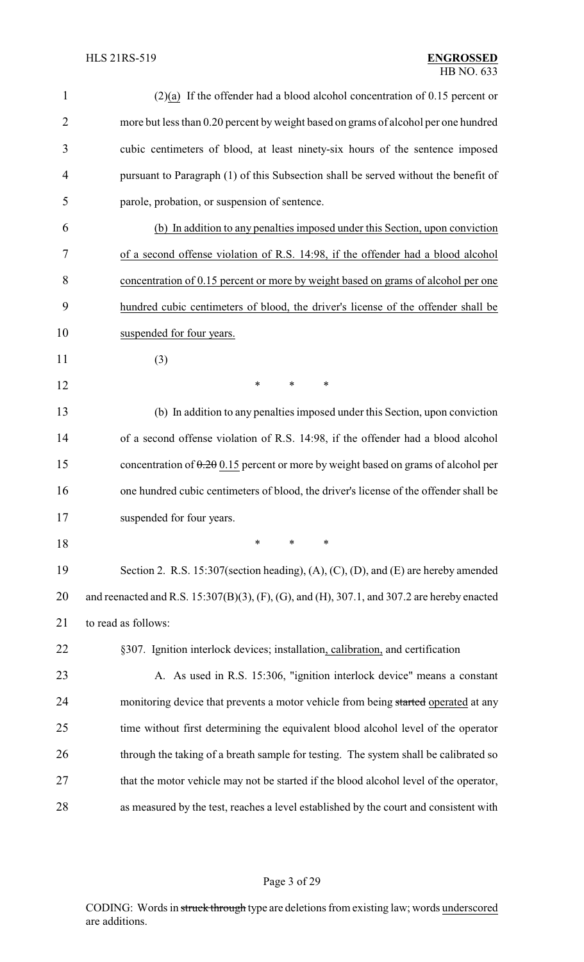| $\mathbf{1}$   | $(2)(a)$ If the offender had a blood alcohol concentration of 0.15 percent or               |
|----------------|---------------------------------------------------------------------------------------------|
| $\overline{2}$ | more but less than 0.20 percent by weight based on grams of alcohol per one hundred         |
| 3              | cubic centimeters of blood, at least ninety-six hours of the sentence imposed               |
| 4              | pursuant to Paragraph (1) of this Subsection shall be served without the benefit of         |
| 5              | parole, probation, or suspension of sentence.                                               |
| 6              | (b) In addition to any penalties imposed under this Section, upon conviction                |
| 7              | of a second offense violation of R.S. 14:98, if the offender had a blood alcohol            |
| 8              | concentration of 0.15 percent or more by weight based on grams of alcohol per one           |
| 9              | hundred cubic centimeters of blood, the driver's license of the offender shall be           |
| 10             | suspended for four years.                                                                   |
| 11             | (3)                                                                                         |
| 12             | ∗<br>*<br>∗                                                                                 |
| 13             | (b) In addition to any penalties imposed under this Section, upon conviction                |
| 14             | of a second offense violation of R.S. 14:98, if the offender had a blood alcohol            |
| 15             | concentration of $0.20$ 0.15 percent or more by weight based on grams of alcohol per        |
| 16             | one hundred cubic centimeters of blood, the driver's license of the offender shall be       |
| 17             | suspended for four years.                                                                   |
| 18             | $\ast$<br>*<br>∗                                                                            |
| 19             | Section 2. R.S. 15:307(section heading), (A), (C), (D), and (E) are hereby amended          |
| 20             | and reenacted and R.S. 15:307(B)(3), (F), (G), and (H), 307.1, and 307.2 are hereby enacted |
| 21             | to read as follows:                                                                         |
| 22             | §307. Ignition interlock devices; installation, calibration, and certification              |
| 23             | A. As used in R.S. 15:306, "ignition interlock device" means a constant                     |
| 24             | monitoring device that prevents a motor vehicle from being started operated at any          |
| 25             | time without first determining the equivalent blood alcohol level of the operator           |
| 26             | through the taking of a breath sample for testing. The system shall be calibrated so        |
| 27             | that the motor vehicle may not be started if the blood alcohol level of the operator,       |
| 28             | as measured by the test, reaches a level established by the court and consistent with       |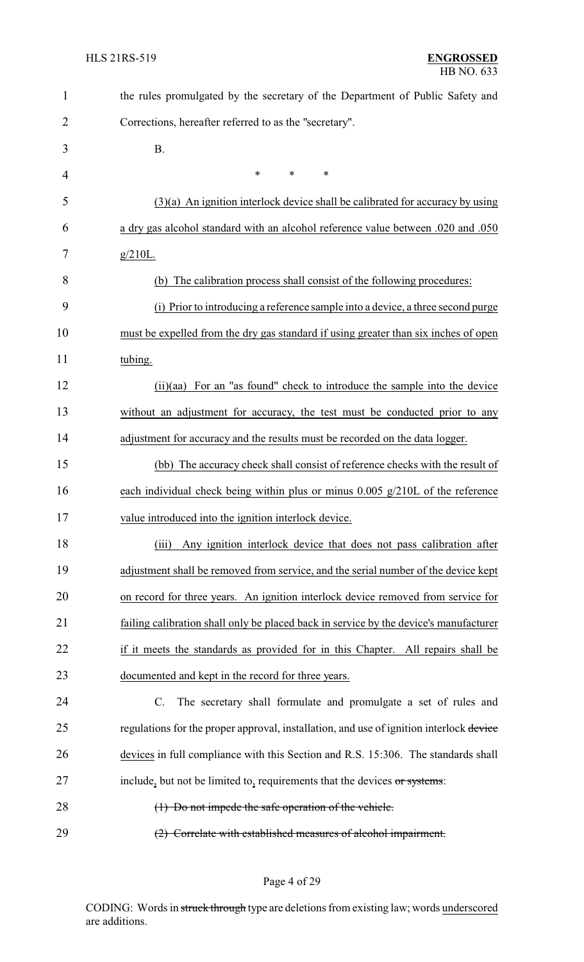| $\mathbf{1}$ | the rules promulgated by the secretary of the Department of Public Safety and           |
|--------------|-----------------------------------------------------------------------------------------|
| 2            | Corrections, hereafter referred to as the "secretary".                                  |
| 3            | <b>B.</b>                                                                               |
| 4            | $\ast$<br>*<br>*                                                                        |
| 5            | $(3)(a)$ An ignition interlock device shall be calibrated for accuracy by using         |
| 6            | a dry gas alcohol standard with an alcohol reference value between .020 and .050        |
| 7            | $g/210L$ .                                                                              |
| 8            | (b) The calibration process shall consist of the following procedures:                  |
| 9            | (i) Prior to introducing a reference sample into a device, a three second purge         |
| 10           | must be expelled from the dry gas standard if using greater than six inches of open     |
| 11           | tubing.                                                                                 |
| 12           | (ii)(aa) For an "as found" check to introduce the sample into the device                |
| 13           | without an adjustment for accuracy, the test must be conducted prior to any             |
| 14           | adjustment for accuracy and the results must be recorded on the data logger.            |
| 15           | (bb) The accuracy check shall consist of reference checks with the result of            |
| 16           | each individual check being within plus or minus $0.005$ g/210L of the reference        |
| 17           | value introduced into the ignition interlock device                                     |
| 18           | Any ignition interlock device that does not pass calibration after<br>(iii)             |
| 19           | adjustment shall be removed from service, and the serial number of the device kept      |
| 20           | on record for three years. An ignition interlock device removed from service for        |
| 21           | failing calibration shall only be placed back in service by the device's manufacturer   |
| 22           | if it meets the standards as provided for in this Chapter. All repairs shall be         |
| 23           | documented and kept in the record for three years.                                      |
| 24           | The secretary shall formulate and promulgate a set of rules and<br>$C_{\cdot}$          |
| 25           | regulations for the proper approval, installation, and use of ignition interlock device |
| 26           | devices in full compliance with this Section and R.S. 15:306. The standards shall       |
| 27           | include, but not be limited to, requirements that the devices or systems:               |
| 28           | (1) Do not impede the safe operation of the vehicle.                                    |
| 29           | (2) Correlate with established measures of alcohol impairment.                          |

Page 4 of 29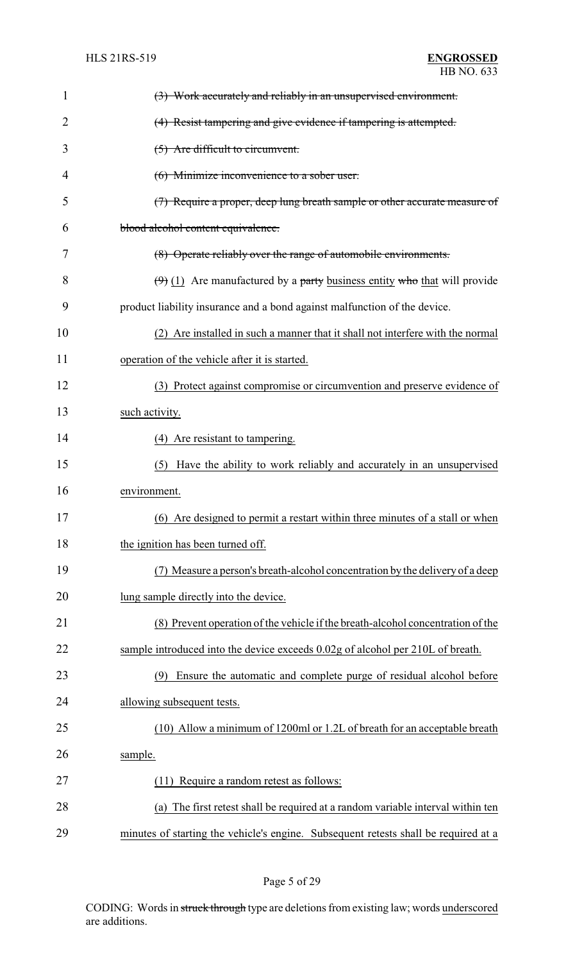| 1              | (3) Work accurately and reliably in an unsupervised environment.                    |
|----------------|-------------------------------------------------------------------------------------|
| $\overline{2}$ | (4) Resist tampering and give evidence if tampering is attempted.                   |
| 3              | $(5)$ Are difficult to circumvent.                                                  |
| 4              | (6) Minimize inconvenience to a sober user.                                         |
| 5              | (7) Require a proper, deep lung breath sample or other accurate measure of          |
| 6              | blood alcohol content equivalence.                                                  |
| 7              | (8) Operate reliably over the range of automobile environments.                     |
| 8              | $(\theta)$ (1) Are manufactured by a party business entity who that will provide    |
| 9              | product liability insurance and a bond against malfunction of the device.           |
| 10             | (2) Are installed in such a manner that it shall not interfere with the normal      |
| 11             | operation of the vehicle after it is started.                                       |
| 12             | (3) Protect against compromise or circumvention and preserve evidence of            |
| 13             | such activity.                                                                      |
| 14             | (4) Are resistant to tampering.                                                     |
| 15             | Have the ability to work reliably and accurately in an unsupervised<br>(5)          |
| 16             | environment.                                                                        |
| 17             | (6) Are designed to permit a restart within three minutes of a stall or when        |
| 18             | the ignition has been turned off.                                                   |
| 19             | (7) Measure a person's breath-alcohol concentration by the delivery of a deep       |
| 20             | lung sample directly into the device.                                               |
| 21             | (8) Prevent operation of the vehicle if the breath-alcohol concentration of the     |
| 22             | sample introduced into the device exceeds 0.02g of alcohol per 210L of breath.      |
| 23             | Ensure the automatic and complete purge of residual alcohol before<br>(9)           |
| 24             | allowing subsequent tests.                                                          |
| 25             | (10) Allow a minimum of 1200ml or 1.2L of breath for an acceptable breath           |
| 26             | sample.                                                                             |
| 27             | Require a random retest as follows:<br>(11)                                         |
| 28             | The first retest shall be required at a random variable interval within ten<br>(a)  |
| 29             | minutes of starting the vehicle's engine. Subsequent retests shall be required at a |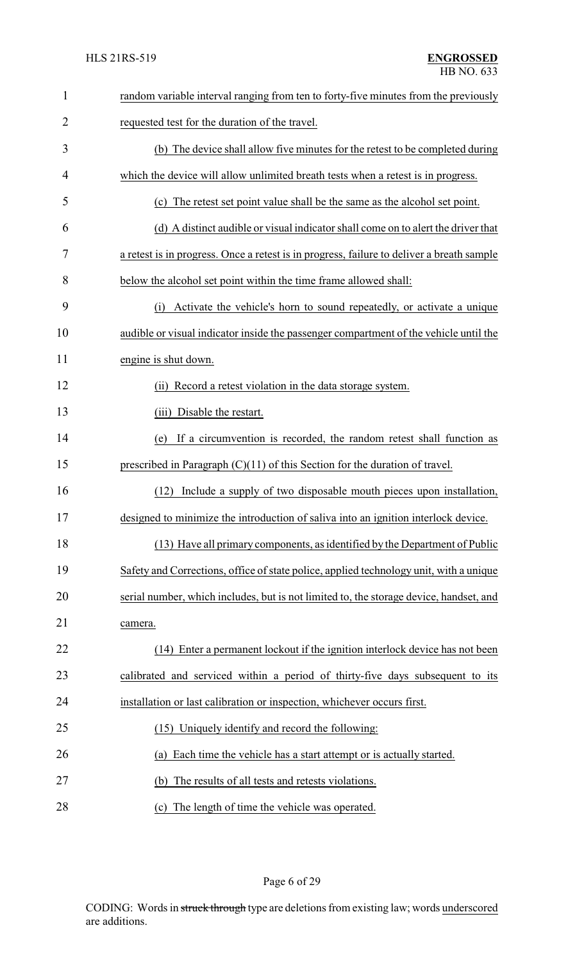| $\mathbf{1}$   | random variable interval ranging from ten to forty-five minutes from the previously       |
|----------------|-------------------------------------------------------------------------------------------|
| $\overline{2}$ | requested test for the duration of the travel.                                            |
| 3              | (b) The device shall allow five minutes for the retest to be completed during             |
| 4              | which the device will allow unlimited breath tests when a retest is in progress.          |
| 5              | (c) The retest set point value shall be the same as the alcohol set point.                |
| 6              | (d) A distinct audible or visual indicator shall come on to alert the driver that         |
| 7              | a retest is in progress. Once a retest is in progress, failure to deliver a breath sample |
| 8              | below the alcohol set point within the time frame allowed shall:                          |
| 9              | Activate the vehicle's horn to sound repeatedly, or activate a unique<br>(i)              |
| 10             | audible or visual indicator inside the passenger compartment of the vehicle until the     |
| 11             | engine is shut down.                                                                      |
| 12             | (ii) Record a retest violation in the data storage system.                                |
| 13             | (iii) Disable the restart.                                                                |
| 14             | If a circumvention is recorded, the random retest shall function as<br>(e)                |
| 15             | prescribed in Paragraph $(C)(11)$ of this Section for the duration of travel.             |
| 16             | Include a supply of two disposable mouth pieces upon installation,<br>(12)                |
| 17             | designed to minimize the introduction of saliva into an ignition interlock device.        |
| 18             | (13) Have all primary components, as identified by the Department of Public               |
| 19             | Safety and Corrections, office of state police, applied technology unit, with a unique    |
| 20             | serial number, which includes, but is not limited to, the storage device, handset, and    |
| 21             | camera.                                                                                   |
| 22             | (14) Enter a permanent lockout if the ignition interlock device has not been              |
| 23             | calibrated and serviced within a period of thirty-five days subsequent to its             |
| 24             | installation or last calibration or inspection, whichever occurs first.                   |
| 25             | (15) Uniquely identify and record the following:                                          |
| 26             | Each time the vehicle has a start attempt or is actually started.<br>(a)                  |
| 27             | The results of all tests and retests violations.<br>(b)                                   |
| 28             | The length of time the vehicle was operated.<br>(c)                                       |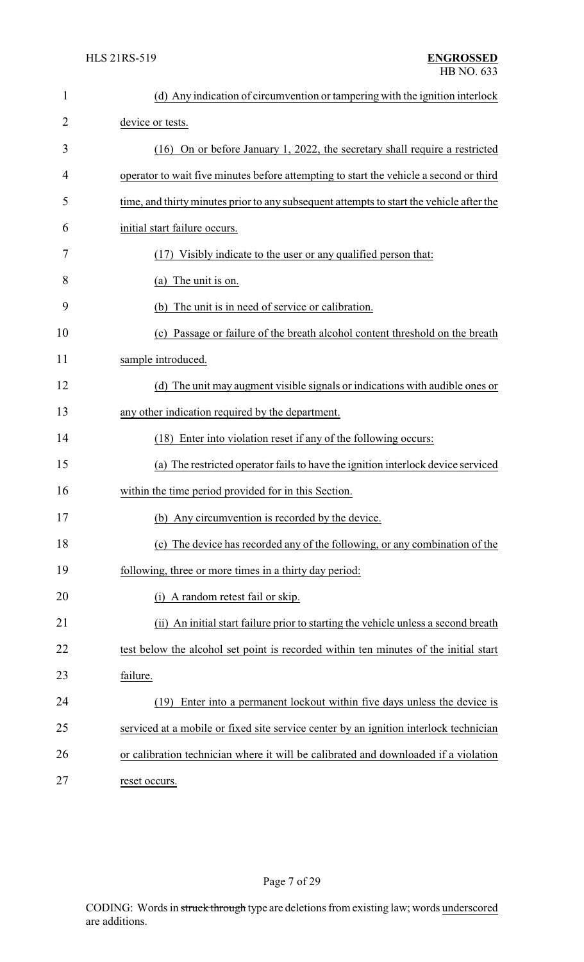| $\mathbf{1}$   | (d) Any indication of circumvention or tampering with the ignition interlock             |
|----------------|------------------------------------------------------------------------------------------|
| $\overline{2}$ | device or tests.                                                                         |
| 3              | (16) On or before January 1, 2022, the secretary shall require a restricted              |
| 4              | operator to wait five minutes before attempting to start the vehicle a second or third   |
| 5              | time, and thirty minutes prior to any subsequent attempts to start the vehicle after the |
| 6              | initial start failure occurs.                                                            |
| 7              | (17) Visibly indicate to the user or any qualified person that:                          |
| 8              | (a) The unit is on.                                                                      |
| 9              | The unit is in need of service or calibration.<br>(b)                                    |
| 10             | Passage or failure of the breath alcohol content threshold on the breath<br>(c)          |
| 11             | sample introduced.                                                                       |
| 12             | (d) The unit may augment visible signals or indications with audible ones or             |
| 13             | any other indication required by the department.                                         |
| 14             | (18) Enter into violation reset if any of the following occurs:                          |
| 15             | (a) The restricted operator fails to have the ignition interlock device serviced         |
| 16             | within the time period provided for in this Section.                                     |
| 17             | (b) Any circumvention is recorded by the device.                                         |
| 18             | (c) The device has recorded any of the following, or any combination of the              |
| 19             | following, three or more times in a thirty day period:                                   |
| 20             | A random retest fail or skip.<br>(1)                                                     |
| 21             | (ii) An initial start failure prior to starting the vehicle unless a second breath       |
| 22             | test below the alcohol set point is recorded within ten minutes of the initial start     |
| 23             | failure.                                                                                 |
| 24             | Enter into a permanent lockout within five days unless the device is<br>(19)             |
| 25             | serviced at a mobile or fixed site service center by an ignition interlock technician    |
| 26             | or calibration technician where it will be calibrated and downloaded if a violation      |
| 27             | reset occurs.                                                                            |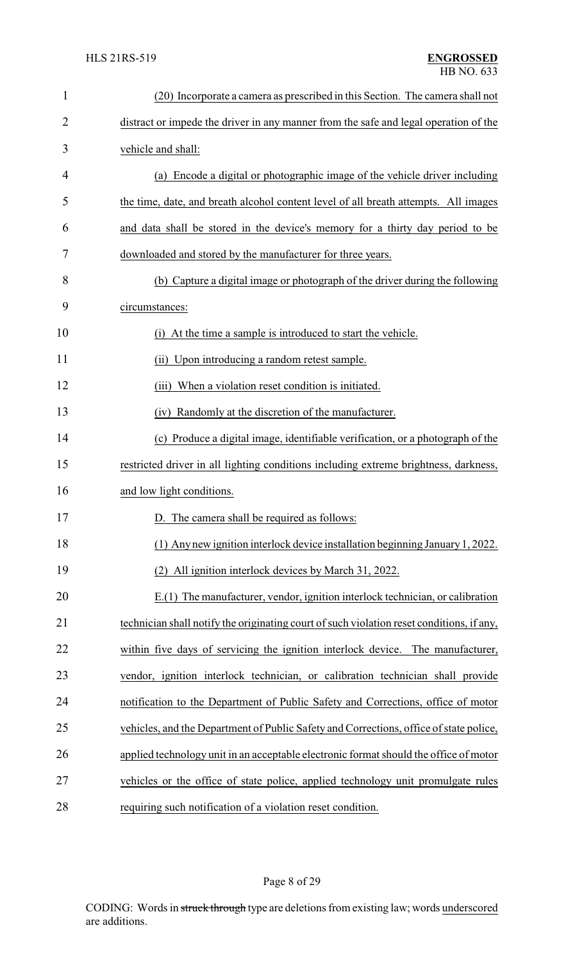| 1              | (20) Incorporate a camera as prescribed in this Section. The camera shall not             |
|----------------|-------------------------------------------------------------------------------------------|
| $\overline{2}$ | distract or impede the driver in any manner from the safe and legal operation of the      |
| 3              | vehicle and shall:                                                                        |
| 4              | (a) Encode a digital or photographic image of the vehicle driver including                |
| 5              | the time, date, and breath alcohol content level of all breath attempts. All images       |
| 6              | and data shall be stored in the device's memory for a thirty day period to be             |
| 7              | downloaded and stored by the manufacturer for three years.                                |
| 8              | (b) Capture a digital image or photograph of the driver during the following              |
| 9              | circumstances:                                                                            |
| 10             | At the time a sample is introduced to start the vehicle.<br>(1)                           |
| 11             | Upon introducing a random retest sample.<br>(ii)                                          |
| 12             | When a violation reset condition is initiated.<br>(iii)                                   |
| 13             | (iv) Randomly at the discretion of the manufacturer.                                      |
| 14             | (c) Produce a digital image, identifiable verification, or a photograph of the            |
| 15             | restricted driver in all lighting conditions including extreme brightness, darkness,      |
| 16             | and low light conditions.                                                                 |
| 17             | D. The camera shall be required as follows:                                               |
| 18             | (1) Any new ignition interlock device installation beginning January 1, 2022.             |
| 19             | (2) All ignition interlock devices by March 31, 2022.                                     |
| 20             | E.(1) The manufacturer, vendor, ignition interlock technician, or calibration             |
| 21             | technician shall notify the originating court of such violation reset conditions, if any, |
| 22             | within five days of servicing the ignition interlock device. The manufacturer,            |
| 23             | vendor, ignition interlock technician, or calibration technician shall provide            |
| 24             | notification to the Department of Public Safety and Corrections, office of motor          |
| 25             | vehicles, and the Department of Public Safety and Corrections, office of state police,    |
| 26             | applied technology unit in an acceptable electronic format should the office of motor     |
| 27             | vehicles or the office of state police, applied technology unit promulgate rules          |
| 28             | requiring such notification of a violation reset condition.                               |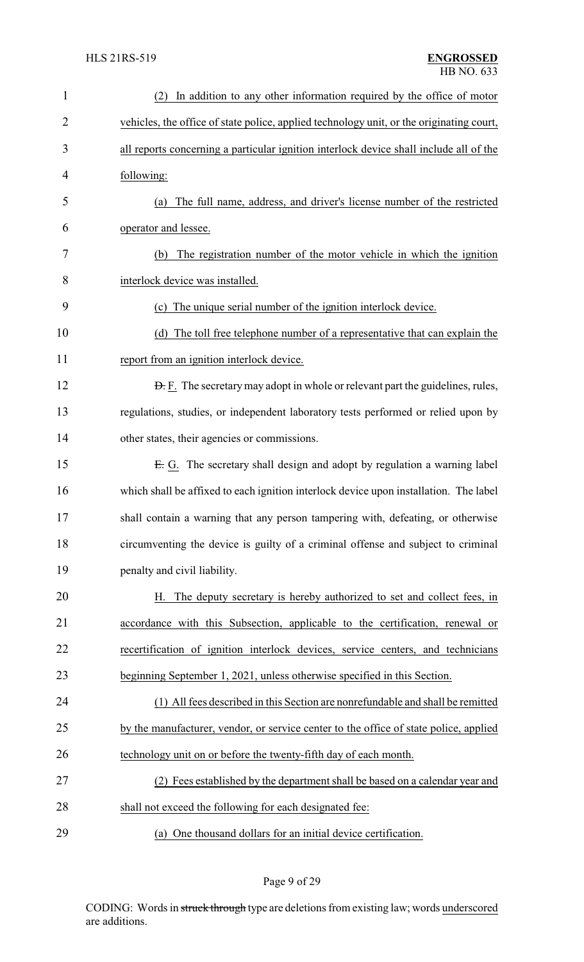| $\mathbf{1}$   | In addition to any other information required by the office of motor<br>(2)              |
|----------------|------------------------------------------------------------------------------------------|
| $\overline{c}$ | vehicles, the office of state police, applied technology unit, or the originating court, |
| 3              | all reports concerning a particular ignition interlock device shall include all of the   |
| 4              | following:                                                                               |
| 5              | The full name, address, and driver's license number of the restricted<br>(a)             |
| 6              | operator and lessee.                                                                     |
| 7              | The registration number of the motor vehicle in which the ignition<br>(b)                |
| 8              | interlock device was installed.                                                          |
| 9              | (c) The unique serial number of the ignition interlock device.                           |
| 10             | The toll free telephone number of a representative that can explain the<br>(d)           |
| 11             | report from an ignition interlock device.                                                |
| 12             | <b>D.</b> F. The secretary may adopt in whole or relevant part the guidelines, rules,    |
| 13             | regulations, studies, or independent laboratory tests performed or relied upon by        |
| 14             | other states, their agencies or commissions.                                             |
| 15             | E. G. The secretary shall design and adopt by regulation a warning label                 |
| 16             | which shall be affixed to each ignition interlock device upon installation. The label    |
| 17             | shall contain a warning that any person tampering with, defeating, or otherwise          |
| 18             | circumventing the device is guilty of a criminal offense and subject to criminal         |
| 19             | penalty and civil liability.                                                             |
| 20             | H. The deputy secretary is hereby authorized to set and collect fees, in                 |
| 21             | accordance with this Subsection, applicable to the certification, renewal or             |
| 22             | recertification of ignition interlock devices, service centers, and technicians          |
| 23             | beginning September 1, 2021, unless otherwise specified in this Section.                 |
| 24             | (1) All fees described in this Section are nonrefundable and shall be remitted           |
| 25             | by the manufacturer, vendor, or service center to the office of state police, applied    |
| 26             | technology unit on or before the twenty-fifth day of each month.                         |
| 27             | (2) Fees established by the department shall be based on a calendar year and             |
| 28             | shall not exceed the following for each designated fee:                                  |
| 29             | (a) One thousand dollars for an initial device certification.                            |

Page 9 of 29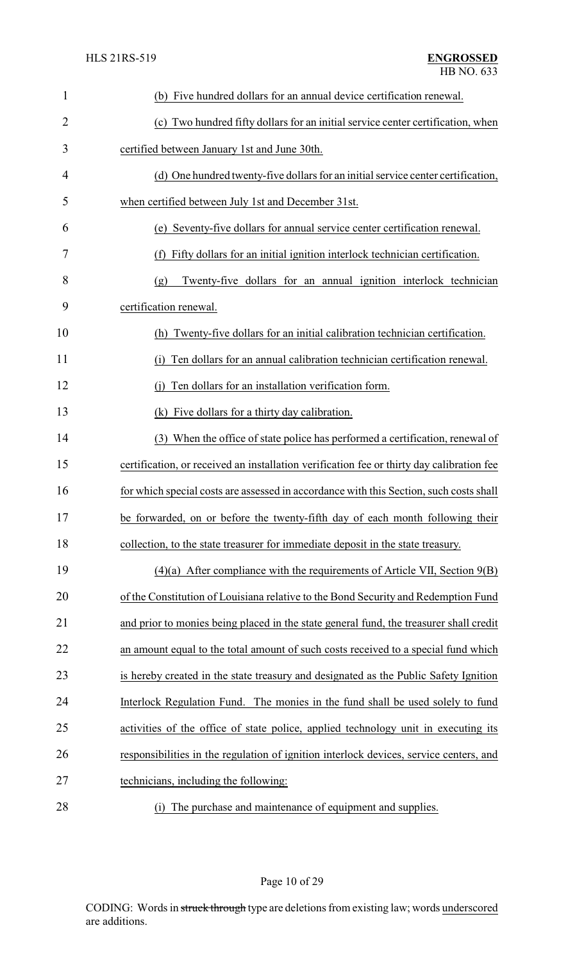| $\mathbf{1}$   | (b) Five hundred dollars for an annual device certification renewal.                      |
|----------------|-------------------------------------------------------------------------------------------|
| $\overline{2}$ | (c) Two hundred fifty dollars for an initial service center certification, when           |
| 3              | certified between January 1st and June 30th.                                              |
| 4              | (d) One hundred twenty-five dollars for an initial service center certification,          |
| 5              | when certified between July 1st and December 31st.                                        |
| 6              | (e) Seventy-five dollars for annual service center certification renewal.                 |
| 7              | Fifty dollars for an initial ignition interlock technician certification.<br>(f)          |
| 8              | Twenty-five dollars for an annual ignition interlock technician<br>(g)                    |
| 9              | certification renewal.                                                                    |
| 10             | Twenty-five dollars for an initial calibration technician certification.<br>(h)           |
| 11             | Ten dollars for an annual calibration technician certification renewal.<br>(1)            |
| 12             | Ten dollars for an installation verification form.                                        |
| 13             | (k) Five dollars for a thirty day calibration.                                            |
| 14             | (3) When the office of state police has performed a certification, renewal of             |
| 15             | certification, or received an installation verification fee or thirty day calibration fee |
| 16             | for which special costs are assessed in accordance with this Section, such costs shall    |
| 17             | be forwarded, on or before the twenty-fifth day of each month following their             |
| 18             | collection, to the state treasurer for immediate deposit in the state treasury.           |
| 19             | $(4)(a)$ After compliance with the requirements of Article VII, Section $9(B)$            |
| 20             | of the Constitution of Louisiana relative to the Bond Security and Redemption Fund        |
| 21             | and prior to monies being placed in the state general fund, the treasurer shall credit    |
| 22             | an amount equal to the total amount of such costs received to a special fund which        |
| 23             | is hereby created in the state treasury and designated as the Public Safety Ignition      |
| 24             | Interlock Regulation Fund. The monies in the fund shall be used solely to fund            |
| 25             | activities of the office of state police, applied technology unit in executing its        |
| 26             | responsibilities in the regulation of ignition interlock devices, service centers, and    |
| 27             | technicians, including the following:                                                     |
|                |                                                                                           |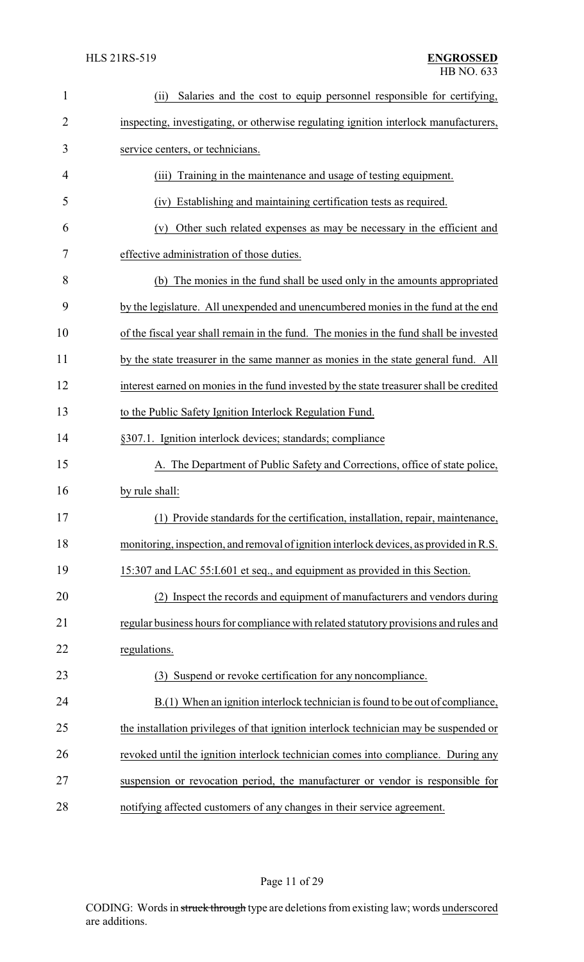| $\mathbf{1}$ | Salaries and the cost to equip personnel responsible for certifying,<br>(ii)            |
|--------------|-----------------------------------------------------------------------------------------|
| 2            | inspecting, investigating, or otherwise regulating ignition interlock manufacturers,    |
| 3            | service centers, or technicians.                                                        |
| 4            | Training in the maintenance and usage of testing equipment.<br>(iii)                    |
| 5            | Establishing and maintaining certification tests as required.<br>(iv)                   |
| 6            | Other such related expenses as may be necessary in the efficient and<br>(v)             |
| 7            | effective administration of those duties.                                               |
| 8            | (b) The monies in the fund shall be used only in the amounts appropriated               |
| 9            | by the legislature. All unexpended and unencumbered monies in the fund at the end       |
| 10           | of the fiscal year shall remain in the fund. The monies in the fund shall be invested   |
| 11           | by the state treasurer in the same manner as monies in the state general fund. All      |
| 12           | interest earned on monies in the fund invested by the state treasurer shall be credited |
| 13           | to the Public Safety Ignition Interlock Regulation Fund.                                |
| 14           | §307.1. Ignition interlock devices; standards; compliance                               |
| 15           | A. The Department of Public Safety and Corrections, office of state police,             |
| 16           | by rule shall:                                                                          |
| 17           | (1) Provide standards for the certification, installation, repair, maintenance,         |
| 18           | monitoring, inspection, and removal of ignition interlock devices, as provided in R.S.  |
| 19           | 15:307 and LAC 55:I.601 et seq., and equipment as provided in this Section.             |
| 20           | (2) Inspect the records and equipment of manufacturers and vendors during               |
| 21           | regular business hours for compliance with related statutory provisions and rules and   |
| 22           | regulations.                                                                            |
| 23           | (3) Suspend or revoke certification for any noncompliance.                              |
| 24           | $B(1)$ When an ignition interlock technician is found to be out of compliance,          |
| 25           | the installation privileges of that ignition interlock technician may be suspended or   |
| 26           | revoked until the ignition interlock technician comes into compliance. During any       |
| 27           | suspension or revocation period, the manufacturer or vendor is responsible for          |
| 28           | notifying affected customers of any changes in their service agreement.                 |

Page 11 of 29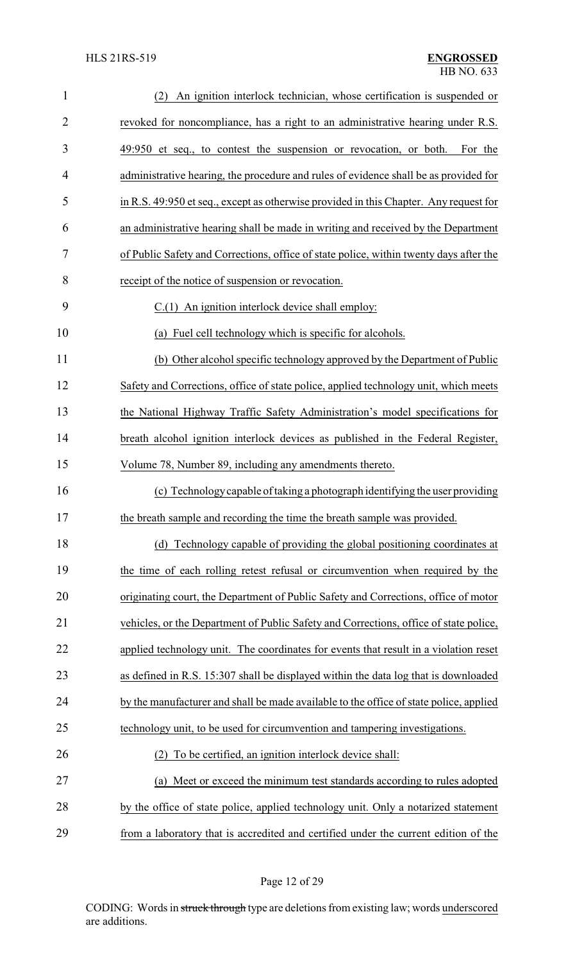| $\mathbf{1}$   | An ignition interlock technician, whose certification is suspended or<br>(2)           |
|----------------|----------------------------------------------------------------------------------------|
| $\overline{2}$ | revoked for noncompliance, has a right to an administrative hearing under R.S.         |
| 3              | 49:950 et seq., to contest the suspension or revocation, or both.<br>For the           |
| 4              | administrative hearing, the procedure and rules of evidence shall be as provided for   |
| 5              | in R.S. 49:950 et seq., except as otherwise provided in this Chapter. Any request for  |
| 6              | an administrative hearing shall be made in writing and received by the Department      |
| 7              | of Public Safety and Corrections, office of state police, within twenty days after the |
| 8              | receipt of the notice of suspension or revocation.                                     |
| 9              | $C.(1)$ An ignition interlock device shall employ:                                     |
| 10             | (a) Fuel cell technology which is specific for alcohols.                               |
| 11             | (b) Other alcohol specific technology approved by the Department of Public             |
| 12             | Safety and Corrections, office of state police, applied technology unit, which meets   |
| 13             | the National Highway Traffic Safety Administration's model specifications for          |
| 14             | breath alcohol ignition interlock devices as published in the Federal Register,        |
| 15             | Volume 78, Number 89, including any amendments thereto.                                |
| 16             | (c) Technology capable of taking a photograph identifying the user providing           |
| 17             | the breath sample and recording the time the breath sample was provided.               |
| 18             | (d) Technology capable of providing the global positioning coordinates at              |
| 19             | the time of each rolling retest refusal or circumvention when required by the          |
| 20             | originating court, the Department of Public Safety and Corrections, office of motor    |
| 21             | vehicles, or the Department of Public Safety and Corrections, office of state police,  |
| 22             | applied technology unit. The coordinates for events that result in a violation reset   |
| 23             | as defined in R.S. 15:307 shall be displayed within the data log that is downloaded    |
| 24             | by the manufacturer and shall be made available to the office of state police, applied |
| 25             | technology unit, to be used for circumvention and tampering investigations.            |
| 26             | To be certified, an ignition interlock device shall:                                   |
| 27             | (a) Meet or exceed the minimum test standards according to rules adopted               |
| 28             | by the office of state police, applied technology unit. Only a notarized statement     |
| 29             | from a laboratory that is accredited and certified under the current edition of the    |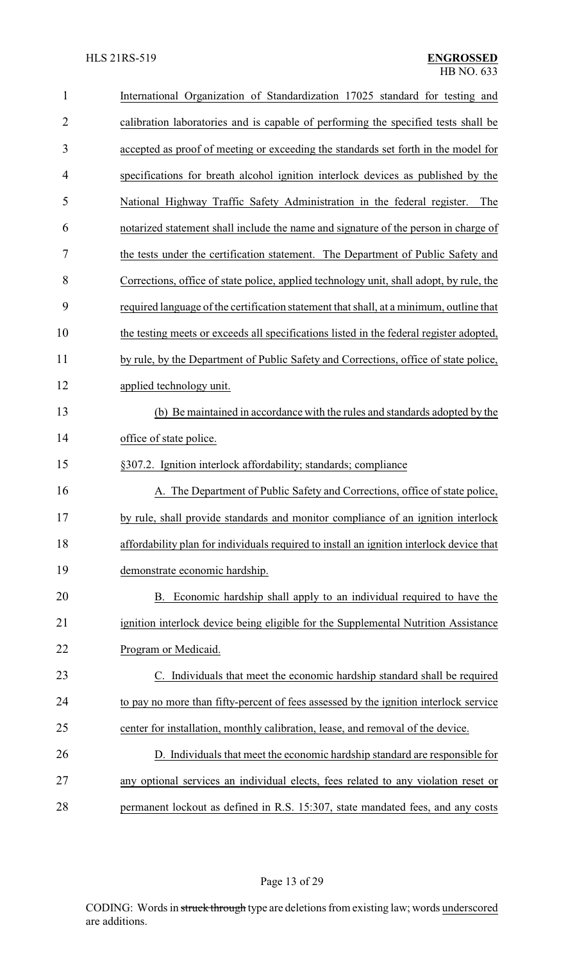| $\mathbf{1}$   | International Organization of Standardization 17025 standard for testing and             |
|----------------|------------------------------------------------------------------------------------------|
| $\overline{2}$ | calibration laboratories and is capable of performing the specified tests shall be       |
| 3              | accepted as proof of meeting or exceeding the standards set forth in the model for       |
| 4              | specifications for breath alcohol ignition interlock devices as published by the         |
| 5              | National Highway Traffic Safety Administration in the federal register.<br>The           |
| 6              | notarized statement shall include the name and signature of the person in charge of      |
| 7              | the tests under the certification statement. The Department of Public Safety and         |
| 8              | Corrections, office of state police, applied technology unit, shall adopt, by rule, the  |
| 9              | required language of the certification statement that shall, at a minimum, outline that  |
| 10             | the testing meets or exceeds all specifications listed in the federal register adopted,  |
| 11             | by rule, by the Department of Public Safety and Corrections, office of state police,     |
| 12             | applied technology unit.                                                                 |
| 13             | (b) Be maintained in accordance with the rules and standards adopted by the              |
| 14             | office of state police.                                                                  |
| 15             | §307.2. Ignition interlock affordability; standards; compliance                          |
| 16             | A. The Department of Public Safety and Corrections, office of state police,              |
| 17             | by rule, shall provide standards and monitor compliance of an ignition interlock         |
| 18             | affordability plan for individuals required to install an ignition interlock device that |
| 19             | demonstrate economic hardship.                                                           |
| 20             | B. Economic hardship shall apply to an individual required to have the                   |
| 21             | ignition interlock device being eligible for the Supplemental Nutrition Assistance       |
| 22             | Program or Medicaid.                                                                     |
| 23             | Individuals that meet the economic hardship standard shall be required                   |
| 24             | to pay no more than fifty-percent of fees assessed by the ignition interlock service     |
| 25             | center for installation, monthly calibration, lease, and removal of the device.          |
| 26             | D. Individuals that meet the economic hardship standard are responsible for              |
| 27             | any optional services an individual elects, fees related to any violation reset or       |
|                |                                                                                          |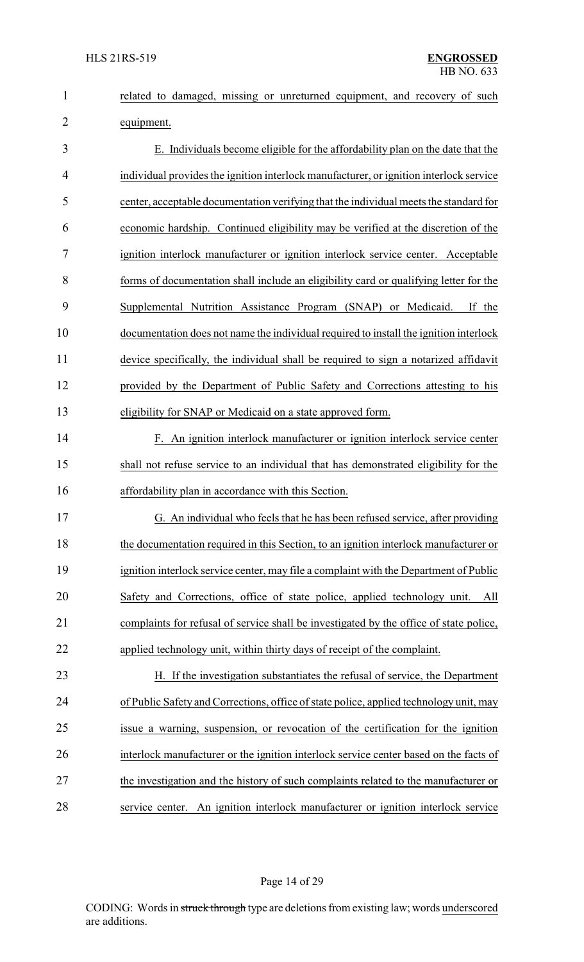|            |  |  | related to damaged, missing or unreturned equipment, and recovery of such |  |  |
|------------|--|--|---------------------------------------------------------------------------|--|--|
|            |  |  |                                                                           |  |  |
| equipment. |  |  |                                                                           |  |  |

 E. Individuals become eligible for the affordability plan on the date that the individual provides the ignition interlock manufacturer, or ignition interlock service center, acceptable documentation verifying that the individual meets the standard for economic hardship. Continued eligibility may be verified at the discretion of the ignition interlock manufacturer or ignition interlock service center. Acceptable forms of documentation shall include an eligibility card or qualifying letter for the Supplemental Nutrition Assistance Program (SNAP) or Medicaid. If the documentation does not name the individual required to install the ignition interlock device specifically, the individual shall be required to sign a notarized affidavit provided by the Department of Public Safety and Corrections attesting to his eligibility for SNAP or Medicaid on a state approved form.

 F. An ignition interlock manufacturer or ignition interlock service center shall not refuse service to an individual that has demonstrated eligibility for the affordability plan in accordance with this Section.

 G. An individual who feels that he has been refused service, after providing 18 the documentation required in this Section, to an ignition interlock manufacturer or ignition interlock service center, may file a complaint with the Department of Public Safety and Corrections, office of state police, applied technology unit. All complaints for refusal of service shall be investigated by the office of state police, applied technology unit, within thirty days of receipt of the complaint.

 H. If the investigation substantiates the refusal of service, the Department of Public Safety and Corrections, office of state police, applied technology unit, may issue a warning, suspension, or revocation of the certification for the ignition interlock manufacturer or the ignition interlock service center based on the facts of the investigation and the history of such complaints related to the manufacturer or service center. An ignition interlock manufacturer or ignition interlock service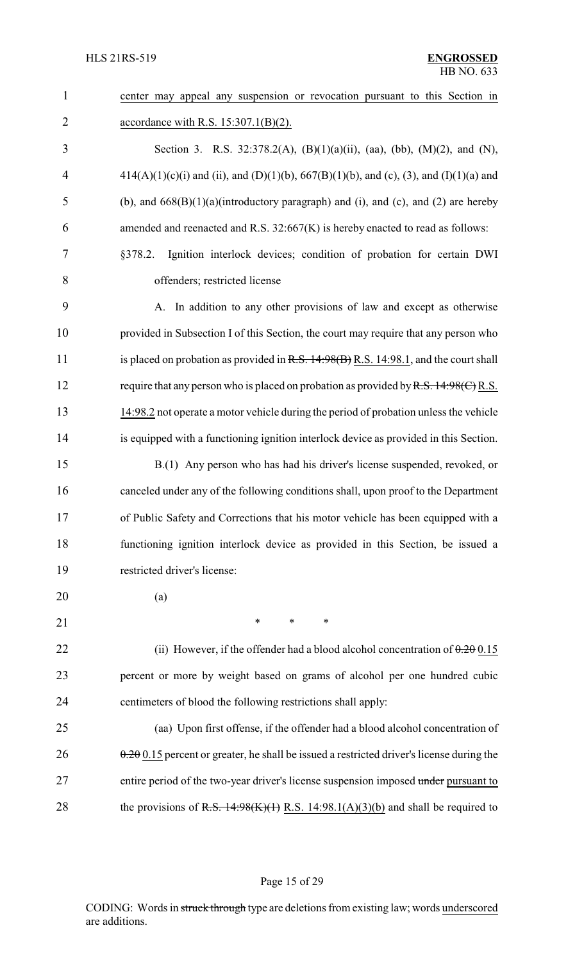| $\mathbf{1}$   | center may appeal any suspension or revocation pursuant to this Section in                |
|----------------|-------------------------------------------------------------------------------------------|
| $\overline{2}$ | accordance with R.S. $15:307.1(B)(2)$ .                                                   |
| 3              | Section 3. R.S. 32:378.2(A), (B)(1)(a)(ii), (aa), (bb), (M)(2), and (N),                  |
| $\overline{4}$ | $414(A)(1)(c)(i)$ and (ii), and (D)(1)(b), 667(B)(1)(b), and (c), (3), and (I)(1)(a) and  |
| 5              | (b), and $668(B)(1)(a)$ (introductory paragraph) and (i), and (c), and (2) are hereby     |
| 6              | amended and reenacted and R.S. 32:667(K) is hereby enacted to read as follows:            |
| 7              | Ignition interlock devices; condition of probation for certain DWI<br>§378.2.             |
| 8              | offenders; restricted license                                                             |
| 9              | A. In addition to any other provisions of law and except as otherwise                     |
| 10             | provided in Subsection I of this Section, the court may require that any person who       |
| 11             | is placed on probation as provided in $R.S. 14.98(B) R.S. 14.98.1$ , and the court shall  |
| 12             | require that any person who is placed on probation as provided by R.S. $14:98(C)$ R.S.    |
| 13             | 14:98.2 not operate a motor vehicle during the period of probation unless the vehicle     |
| 14             | is equipped with a functioning ignition interlock device as provided in this Section.     |
| 15             | B.(1) Any person who has had his driver's license suspended, revoked, or                  |
| 16             | canceled under any of the following conditions shall, upon proof to the Department        |
| 17             | of Public Safety and Corrections that his motor vehicle has been equipped with a          |
| 18             | functioning ignition interlock device as provided in this Section, be issued a            |
| 19             | restricted driver's license:                                                              |
| 20             | (a)                                                                                       |
| 21             | $\ast$<br>$\ast$<br>$\ast$                                                                |
| 22             | (ii) However, if the offender had a blood alcohol concentration of $0.20015$              |
| 23             | percent or more by weight based on grams of alcohol per one hundred cubic                 |
| 24             | centimeters of blood the following restrictions shall apply:                              |
| 25             | (aa) Upon first offense, if the offender had a blood alcohol concentration of             |
| 26             | $0.20015$ percent or greater, he shall be issued a restricted driver's license during the |
| 27             | entire period of the two-year driver's license suspension imposed under pursuant to       |
| 28             | the provisions of R.S. $14:98(K)(1)$ R.S. $14:98.1(A)(3)(b)$ and shall be required to     |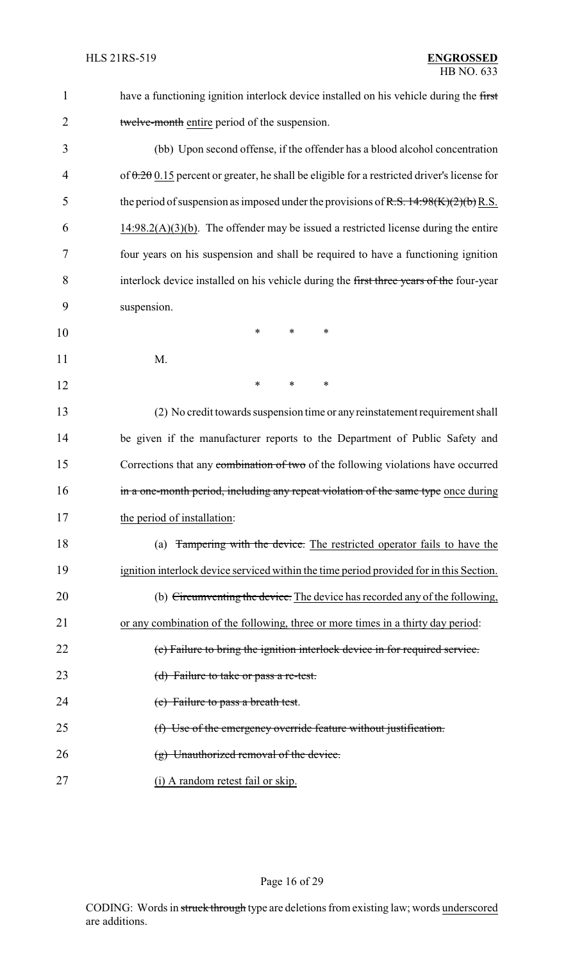| $\mathbf{1}$   | have a functioning ignition interlock device installed on his vehicle during the first         |  |  |  |  |
|----------------|------------------------------------------------------------------------------------------------|--|--|--|--|
| $\overline{2}$ | twelve-month entire period of the suspension.                                                  |  |  |  |  |
| 3              | (bb) Upon second offense, if the offender has a blood alcohol concentration                    |  |  |  |  |
| 4              | of $0.200$ . 15 percent or greater, he shall be eligible for a restricted driver's license for |  |  |  |  |
| 5              | the period of suspension as imposed under the provisions of R.S. $14:98(K)(2)(b)$ R.S.         |  |  |  |  |
| 6              | $14:98.2(A)(3)(b)$ . The offender may be issued a restricted license during the entire         |  |  |  |  |
| 7              | four years on his suspension and shall be required to have a functioning ignition              |  |  |  |  |
| 8              | interlock device installed on his vehicle during the first three years of the four-year        |  |  |  |  |
| 9              | suspension.                                                                                    |  |  |  |  |
| 10             | ∗<br>*<br>*                                                                                    |  |  |  |  |
| 11             | M.                                                                                             |  |  |  |  |
| 12             | $\ast$<br>∗<br>∗                                                                               |  |  |  |  |
| 13             | (2) No credit towards suspension time or any reinstatement requirement shall                   |  |  |  |  |
| 14             | be given if the manufacturer reports to the Department of Public Safety and                    |  |  |  |  |
| 15             | Corrections that any combination of two of the following violations have occurred              |  |  |  |  |
| 16             | in a one-month period, including any repeat violation of the same type once during             |  |  |  |  |
| 17             | the period of installation:                                                                    |  |  |  |  |
| 18             | (a) Tampering with the device. The restricted operator fails to have the                       |  |  |  |  |
| 19             | ignition interlock device serviced within the time period provided for in this Section.        |  |  |  |  |
| 20             | (b) Circumventing the device. The device has recorded any of the following,                    |  |  |  |  |
| 21             | or any combination of the following, three or more times in a thirty day period:               |  |  |  |  |
| 22             | (c) Failure to bring the ignition interlock device in for required service.                    |  |  |  |  |
| 23             | (d) Failure to take or pass a re-test.                                                         |  |  |  |  |
| 24             | (e) Failure to pass a breath test.                                                             |  |  |  |  |
| 25             | (f) Use of the emergency override feature without justification.                               |  |  |  |  |
| 26             | $(g)$ Unauthorized removal of the device.                                                      |  |  |  |  |
| 27             | (i) A random retest fail or skip.                                                              |  |  |  |  |

# Page 16 of 29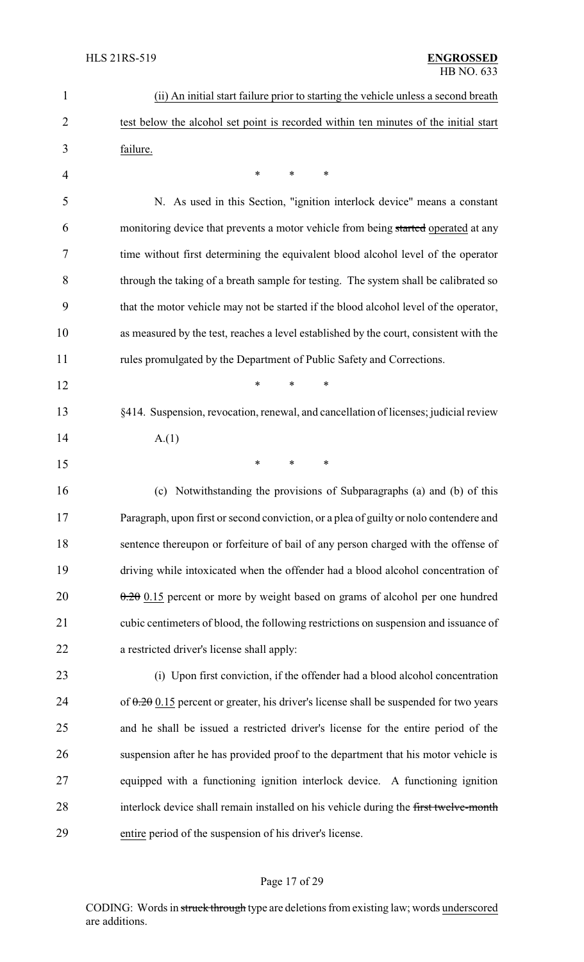| 1              | (ii) An initial start failure prior to starting the vehicle unless a second breath       |
|----------------|------------------------------------------------------------------------------------------|
| $\overline{2}$ | test below the alcohol set point is recorded within ten minutes of the initial start     |
| 3              | failure.                                                                                 |
| 4              | $\ast$<br>*<br>*                                                                         |
| 5              | N. As used in this Section, "ignition interlock device" means a constant                 |
| 6              | monitoring device that prevents a motor vehicle from being started operated at any       |
| 7              | time without first determining the equivalent blood alcohol level of the operator        |
| 8              | through the taking of a breath sample for testing. The system shall be calibrated so     |
| 9              | that the motor vehicle may not be started if the blood alcohol level of the operator,    |
| 10             | as measured by the test, reaches a level established by the court, consistent with the   |
| 11             | rules promulgated by the Department of Public Safety and Corrections.                    |
| 12             | *<br>$\ast$<br>$\ast$                                                                    |
| 13             | §414. Suspension, revocation, renewal, and cancellation of licenses; judicial review     |
| 14             | A(1)                                                                                     |
| 15             | *<br>$\ast$<br>*                                                                         |
| 16             | (c) Notwithstanding the provisions of Subparagraphs (a) and (b) of this                  |
| 17             | Paragraph, upon first or second conviction, or a plea of guilty or nolo contendere and   |
| 18             | sentence thereupon or forfeiture of bail of any person charged with the offense of       |
| 19             | driving while intoxicated when the offender had a blood alcohol concentration of         |
| 20             | $\theta$ . 20 0.15 percent or more by weight based on grams of alcohol per one hundred   |
| 21             | cubic centimeters of blood, the following restrictions on suspension and issuance of     |
| 22             | a restricted driver's license shall apply:                                               |
| 23             | (i) Upon first conviction, if the offender had a blood alcohol concentration             |
| 24             | of $0.20$ 0.15 percent or greater, his driver's license shall be suspended for two years |
| 25             | and he shall be issued a restricted driver's license for the entire period of the        |
| 26             | suspension after he has provided proof to the department that his motor vehicle is       |
| 27             | equipped with a functioning ignition interlock device. A functioning ignition            |
| 28             | interlock device shall remain installed on his vehicle during the first twelve-month     |
| 29             | entire period of the suspension of his driver's license.                                 |

# Page 17 of 29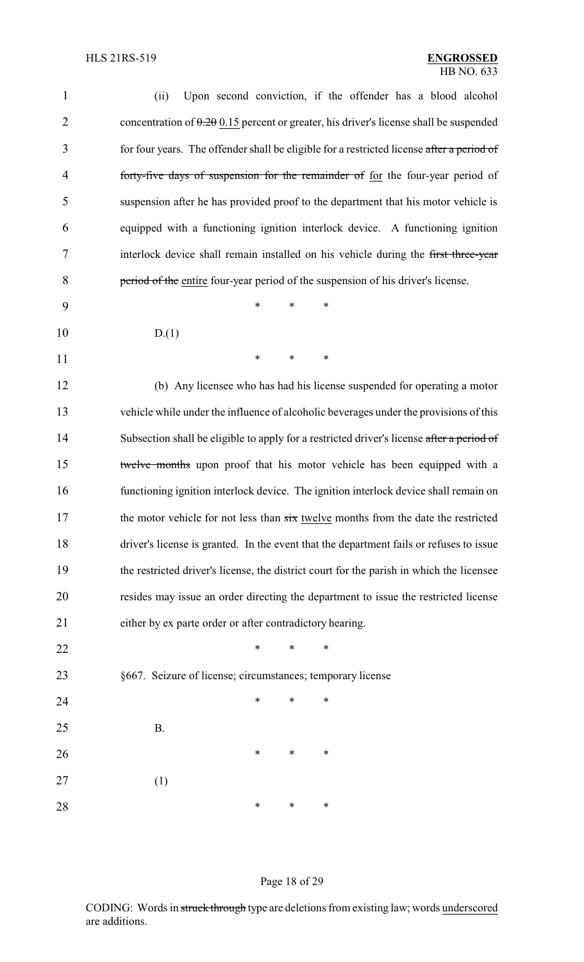| 1              | Upon second conviction, if the offender has a blood alcohol<br>(ii)                       |
|----------------|-------------------------------------------------------------------------------------------|
| $\overline{2}$ | concentration of $0.20015$ percent or greater, his driver's license shall be suspended    |
| 3              | for four years. The offender shall be eligible for a restricted license after a period of |
| $\overline{4}$ | forty-five days of suspension for the remainder of for the four-year period of            |
| 5              | suspension after he has provided proof to the department that his motor vehicle is        |
| 6              | equipped with a functioning ignition interlock device. A functioning ignition             |
| 7              | interlock device shall remain installed on his vehicle during the first three-year        |
| 8              | period of the entire four-year period of the suspension of his driver's license.          |
| 9              | *<br>*<br>*                                                                               |
| 10             | D(1)                                                                                      |
| 11             | ∗<br>*<br>∗                                                                               |
| 12             | (b) Any licensee who has had his license suspended for operating a motor                  |
| 13             | vehicle while under the influence of alcoholic beverages under the provisions of this     |
| 14             | Subsection shall be eligible to apply for a restricted driver's license after a period of |
| 15             | twelve months upon proof that his motor vehicle has been equipped with a                  |
| 16             | functioning ignition interlock device. The ignition interlock device shall remain on      |
| 17             | the motor vehicle for not less than six twelve months from the date the restricted        |
| 18             | driver's license is granted. In the event that the department fails or refuses to issue   |
| 19             | the restricted driver's license, the district court for the parish in which the licensee  |
| 20             | resides may issue an order directing the department to issue the restricted license       |
| 21             | either by ex parte order or after contradictory hearing.                                  |
| 22             | *<br>∗<br>*                                                                               |
| 23             | §667. Seizure of license; circumstances; temporary license                                |
| 24             | $\ast$<br>*<br>∗                                                                          |
| 25             | <b>B.</b>                                                                                 |
| 26             | ∗<br>∗<br>∗                                                                               |
| 27             | (1)                                                                                       |
| 28             | ∗<br>∗<br>∗                                                                               |
|                |                                                                                           |

# Page 18 of 29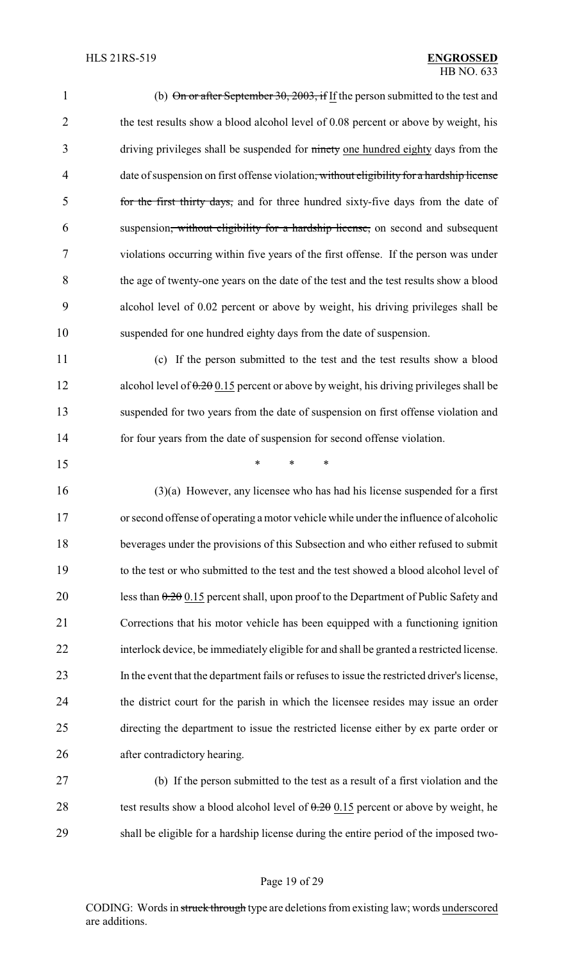| 1              | (b) $\Theta$ n or after September 30, 2003, if If the person submitted to the test and                |
|----------------|-------------------------------------------------------------------------------------------------------|
| $\overline{2}$ | the test results show a blood alcohol level of 0.08 percent or above by weight, his                   |
| 3              | driving privileges shall be suspended for ninety one hundred eighty days from the                     |
| $\overline{4}$ | date of suspension on first offense violation <del>, without eligibility for a hardship license</del> |
| 5              | for the first thirty days, and for three hundred sixty-five days from the date of                     |
| 6              | suspension <del>, without eligibility for a hardship license,</del> on second and subsequent          |
| 7              | violations occurring within five years of the first offense. If the person was under                  |
| 8              | the age of twenty-one years on the date of the test and the test results show a blood                 |
| 9              | alcohol level of 0.02 percent or above by weight, his driving privileges shall be                     |
| 10             | suspended for one hundred eighty days from the date of suspension.                                    |
| 11             | (c) If the person submitted to the test and the test results show a blood                             |
| 12             | alcohol level of $0.20015$ percent or above by weight, his driving privileges shall be                |
| 13             | suspended for two years from the date of suspension on first offense violation and                    |
| 14             | for four years from the date of suspension for second offense violation.                              |
| 15             | $\ast$<br>*<br>*                                                                                      |
| 16             | $(3)(a)$ However, any licensee who has had his license suspended for a first                          |
| 17             | or second offense of operating a motor vehicle while under the influence of alcoholic                 |
| 18             | beverages under the provisions of this Subsection and who either refused to submit                    |
| 19             | to the test or who submitted to the test and the test showed a blood alcohol level of                 |
| 20             | less than $0.20$ 0.15 percent shall, upon proof to the Department of Public Safety and                |
| 21             | Corrections that his motor vehicle has been equipped with a functioning ignition                      |
| 22             | interlock device, be immediately eligible for and shall be granted a restricted license.              |
| 23             | In the event that the department fails or refuses to issue the restricted driver's license,           |
| 24             | the district court for the parish in which the licensee resides may issue an order                    |
| 25             | directing the department to issue the restricted license either by ex parte order or                  |
| 26             | after contradictory hearing.                                                                          |
|                |                                                                                                       |

27 (b) If the person submitted to the test as a result of a first violation and the 28 test results show a blood alcohol level of  $0.20 \times 15$  percent or above by weight, he 29 shall be eligible for a hardship license during the entire period of the imposed two-

# Page 19 of 29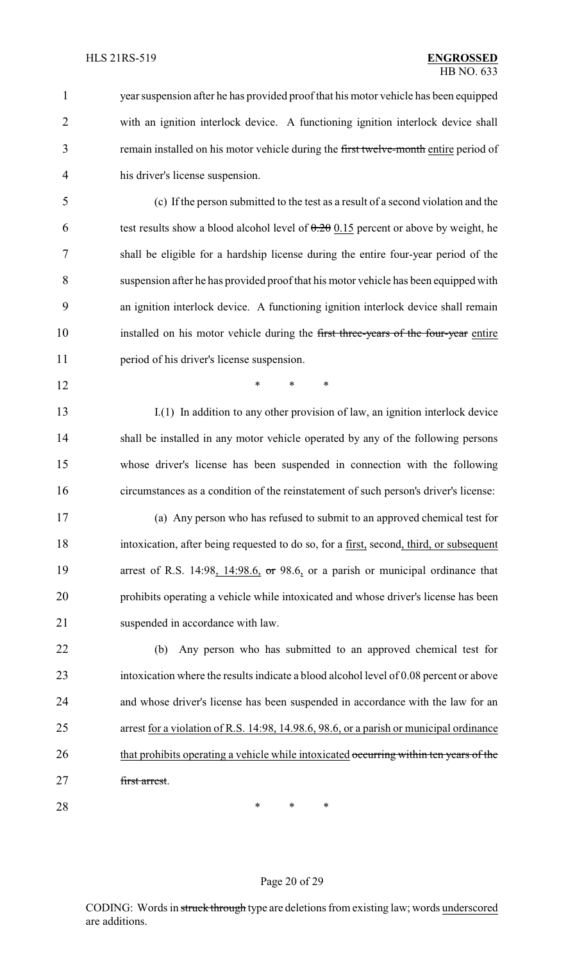year suspension after he has provided proof that his motor vehicle has been equipped with an ignition interlock device. A functioning ignition interlock device shall 3 remain installed on his motor vehicle during the first twelve-month entire period of his driver's license suspension.

 (c) If the person submitted to the test as a result of a second violation and the 6 test results show a blood alcohol level of  $0.20 \, 0.15$  percent or above by weight, he shall be eligible for a hardship license during the entire four-year period of the suspension after he has provided proof that his motor vehicle has been equipped with an ignition interlock device. A functioning ignition interlock device shall remain 10 installed on his motor vehicle during the first three-years of the four-year entire period of his driver's license suspension.

**\*** \* \* \*

 I.(1) In addition to any other provision of law, an ignition interlock device shall be installed in any motor vehicle operated by any of the following persons whose driver's license has been suspended in connection with the following circumstances as a condition of the reinstatement of such person's driver's license:

 (a) Any person who has refused to submit to an approved chemical test for intoxication, after being requested to do so, for a first, second, third, or subsequent 19 arrest of R.S. 14:98, 14:98.6, or 98.6, or a parish or municipal ordinance that prohibits operating a vehicle while intoxicated and whose driver's license has been 21 suspended in accordance with law.

 (b) Any person who has submitted to an approved chemical test for intoxication where the results indicate a blood alcohol level of 0.08 percent or above and whose driver's license has been suspended in accordance with the law for an arrest for a violation of R.S. 14:98, 14.98.6, 98.6, or a parish or municipal ordinance 26 that prohibits operating a vehicle while intoxicated occurring within ten years of the first arrest.

**\*** \* \* \*

#### Page 20 of 29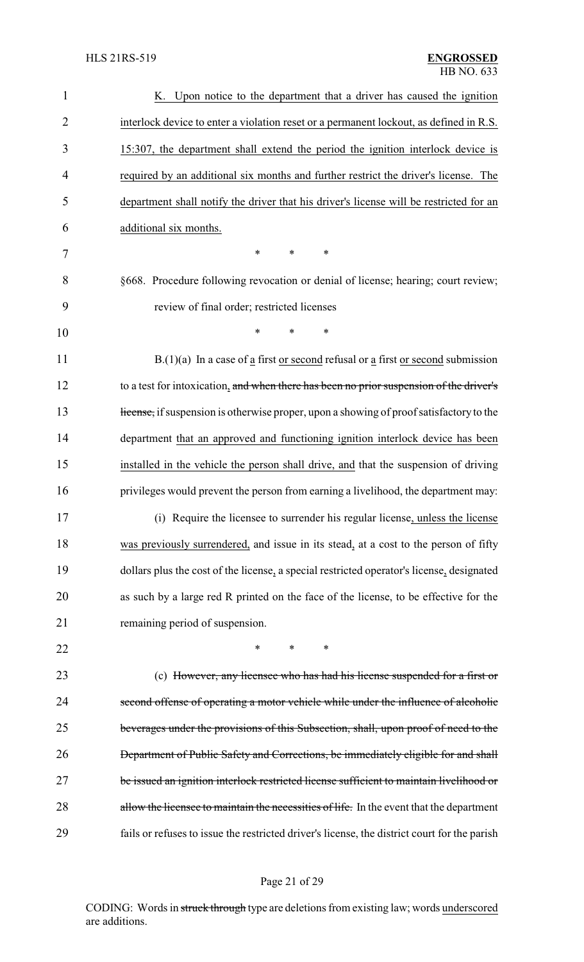| $\mathbf{1}$   | K. Upon notice to the department that a driver has caused the ignition                       |
|----------------|----------------------------------------------------------------------------------------------|
| $\overline{2}$ | interlock device to enter a violation reset or a permanent lockout, as defined in R.S.       |
| 3              | 15:307, the department shall extend the period the ignition interlock device is              |
| $\overline{4}$ | required by an additional six months and further restrict the driver's license. The          |
| 5              | department shall notify the driver that his driver's license will be restricted for an       |
| 6              | additional six months.                                                                       |
| 7              | $\ast$<br>∗<br>*                                                                             |
| 8              | §668. Procedure following revocation or denial of license; hearing; court review;            |
| 9              | review of final order; restricted licenses                                                   |
| 10             | $\ast$<br>$\ast$                                                                             |
| 11             | $B(1)(a)$ In a case of a first or second refusal or a first or second submission             |
| 12             | to a test for intoxication, and when there has been no prior suspension of the driver's      |
| 13             | ticense, if suspension is otherwise proper, upon a showing of proof satisfactory to the      |
| 14             | department that an approved and functioning ignition interlock device has been               |
| 15             | installed in the vehicle the person shall drive, and that the suspension of driving          |
| 16             | privileges would prevent the person from earning a livelihood, the department may:           |
| 17             | (i) Require the licensee to surrender his regular license, unless the license                |
| 18             | was previously surrendered, and issue in its stead, at a cost to the person of fifty         |
| 19             | dollars plus the cost of the license, a special restricted operator's license, designated    |
| 20             | as such by a large red R printed on the face of the license, to be effective for the         |
| 21             | remaining period of suspension.                                                              |
| 22             | ∗<br>*<br>∗                                                                                  |
| 23             | (c) However, any licensee who has had his license suspended for a first or                   |
| 24             | second offense of operating a motor vehicle while under the influence of alcoholic           |
| 25             | beverages under the provisions of this Subsection, shall, upon proof of need to the          |
| 26             | <b>Department of Public Safety and Corrections, be immediately eligible for and shall</b>    |
| 27             | be issued an ignition interlock restricted license sufficient to maintain livelihood or      |
| 28             | allow the licensee to maintain the necessities of life. In the event that the department     |
| 29             | fails or refuses to issue the restricted driver's license, the district court for the parish |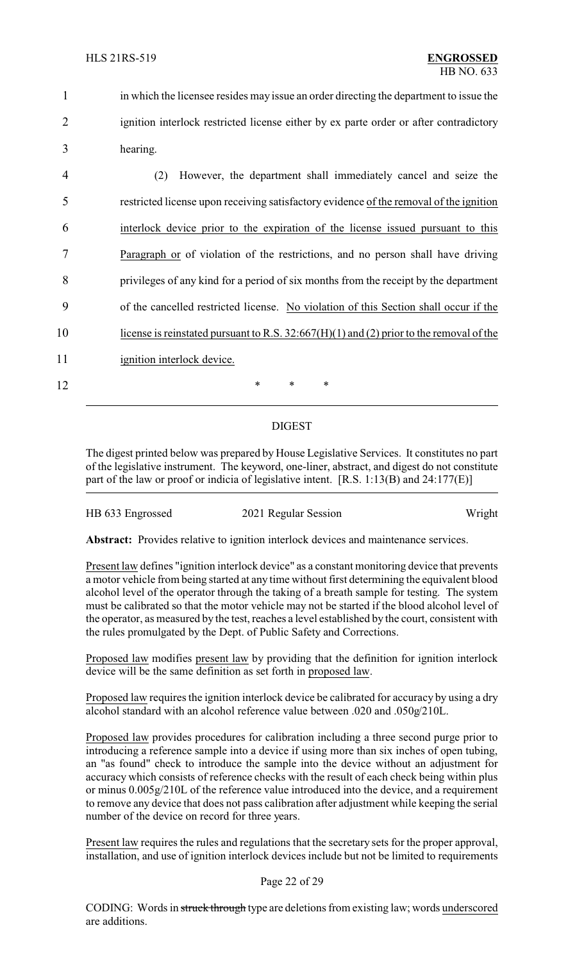| in which the licensee resides may issue an order directing the department to issue the |
|----------------------------------------------------------------------------------------|
| ignition interlock restricted license either by ex parte order or after contradictory  |
| hearing.                                                                               |

 (2) However, the department shall immediately cancel and seize the restricted license upon receiving satisfactory evidence of the removal of the ignition interlock device prior to the expiration of the license issued pursuant to this Paragraph or of violation of the restrictions, and no person shall have driving privileges of any kind for a period of six months from the receipt by the department of the cancelled restricted license. No violation of this Section shall occur if the 10 license is reinstated pursuant to R.S. 32:667(H)(1) and (2) prior to the removal of the 11 ignition interlock device. 12 **\*** \* \* \*

## DIGEST

The digest printed below was prepared by House Legislative Services. It constitutes no part of the legislative instrument. The keyword, one-liner, abstract, and digest do not constitute part of the law or proof or indicia of legislative intent. [R.S. 1:13(B) and 24:177(E)]

| HB 633 Engrossed | 2021 Regular Session | Wright |
|------------------|----------------------|--------|
|------------------|----------------------|--------|

**Abstract:** Provides relative to ignition interlock devices and maintenance services.

Present law defines "ignition interlock device" as a constant monitoring device that prevents a motor vehicle from being started at any time without first determining the equivalent blood alcohol level of the operator through the taking of a breath sample for testing. The system must be calibrated so that the motor vehicle may not be started if the blood alcohol level of the operator, as measured by the test, reaches a level established by the court, consistent with the rules promulgated by the Dept. of Public Safety and Corrections.

Proposed law modifies present law by providing that the definition for ignition interlock device will be the same definition as set forth in proposed law.

Proposed law requires the ignition interlock device be calibrated for accuracy by using a dry alcohol standard with an alcohol reference value between .020 and .050g/210L.

Proposed law provides procedures for calibration including a three second purge prior to introducing a reference sample into a device if using more than six inches of open tubing, an "as found" check to introduce the sample into the device without an adjustment for accuracy which consists of reference checks with the result of each check being within plus or minus 0.005g/210L of the reference value introduced into the device, and a requirement to remove any device that does not pass calibration after adjustment while keeping the serial number of the device on record for three years.

Present law requires the rules and regulations that the secretary sets for the proper approval, installation, and use of ignition interlock devices include but not be limited to requirements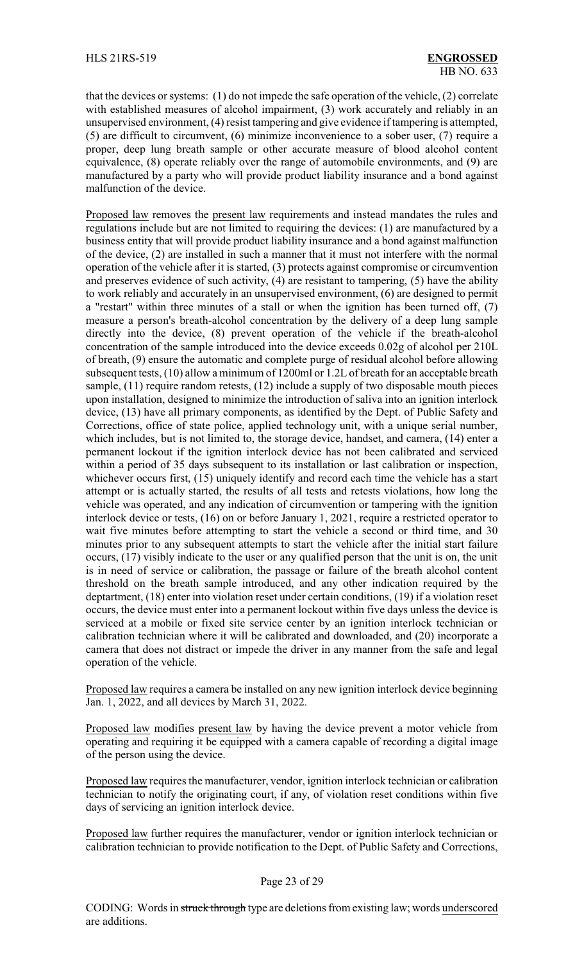that the devices or systems: (1) do not impede the safe operation of the vehicle, (2) correlate with established measures of alcohol impairment, (3) work accurately and reliably in an unsupervised environment, (4) resist tampering and give evidence if tampering is attempted, (5) are difficult to circumvent, (6) minimize inconvenience to a sober user, (7) require a proper, deep lung breath sample or other accurate measure of blood alcohol content equivalence, (8) operate reliably over the range of automobile environments, and (9) are manufactured by a party who will provide product liability insurance and a bond against malfunction of the device.

Proposed law removes the present law requirements and instead mandates the rules and regulations include but are not limited to requiring the devices: (1) are manufactured by a business entity that will provide product liability insurance and a bond against malfunction of the device, (2) are installed in such a manner that it must not interfere with the normal operation of the vehicle after it is started, (3) protects against compromise or circumvention and preserves evidence of such activity, (4) are resistant to tampering, (5) have the ability to work reliably and accurately in an unsupervised environment, (6) are designed to permit a "restart" within three minutes of a stall or when the ignition has been turned off, (7) measure a person's breath-alcohol concentration by the delivery of a deep lung sample directly into the device, (8) prevent operation of the vehicle if the breath-alcohol concentration of the sample introduced into the device exceeds 0.02g of alcohol per 210L of breath, (9) ensure the automatic and complete purge of residual alcohol before allowing subsequent tests, (10) allow a minimum of 1200ml or 1.2L of breath for an acceptable breath sample, (11) require random retests, (12) include a supply of two disposable mouth pieces upon installation, designed to minimize the introduction of saliva into an ignition interlock device, (13) have all primary components, as identified by the Dept. of Public Safety and Corrections, office of state police, applied technology unit, with a unique serial number, which includes, but is not limited to, the storage device, handset, and camera, (14) enter a permanent lockout if the ignition interlock device has not been calibrated and serviced within a period of 35 days subsequent to its installation or last calibration or inspection, whichever occurs first, (15) uniquely identify and record each time the vehicle has a start attempt or is actually started, the results of all tests and retests violations, how long the vehicle was operated, and any indication of circumvention or tampering with the ignition interlock device or tests, (16) on or before January 1, 2021, require a restricted operator to wait five minutes before attempting to start the vehicle a second or third time, and 30 minutes prior to any subsequent attempts to start the vehicle after the initial start failure occurs, (17) visibly indicate to the user or any qualified person that the unit is on, the unit is in need of service or calibration, the passage or failure of the breath alcohol content threshold on the breath sample introduced, and any other indication required by the deptartment, (18) enter into violation reset under certain conditions, (19) if a violation reset occurs, the device must enter into a permanent lockout within five days unless the device is serviced at a mobile or fixed site service center by an ignition interlock technician or calibration technician where it will be calibrated and downloaded, and (20) incorporate a camera that does not distract or impede the driver in any manner from the safe and legal operation of the vehicle.

Proposed law requires a camera be installed on any new ignition interlock device beginning Jan. 1, 2022, and all devices by March 31, 2022.

Proposed law modifies present law by having the device prevent a motor vehicle from operating and requiring it be equipped with a camera capable of recording a digital image of the person using the device.

Proposed law requires the manufacturer, vendor, ignition interlock technician or calibration technician to notify the originating court, if any, of violation reset conditions within five days of servicing an ignition interlock device.

Proposed law further requires the manufacturer, vendor or ignition interlock technician or calibration technician to provide notification to the Dept. of Public Safety and Corrections,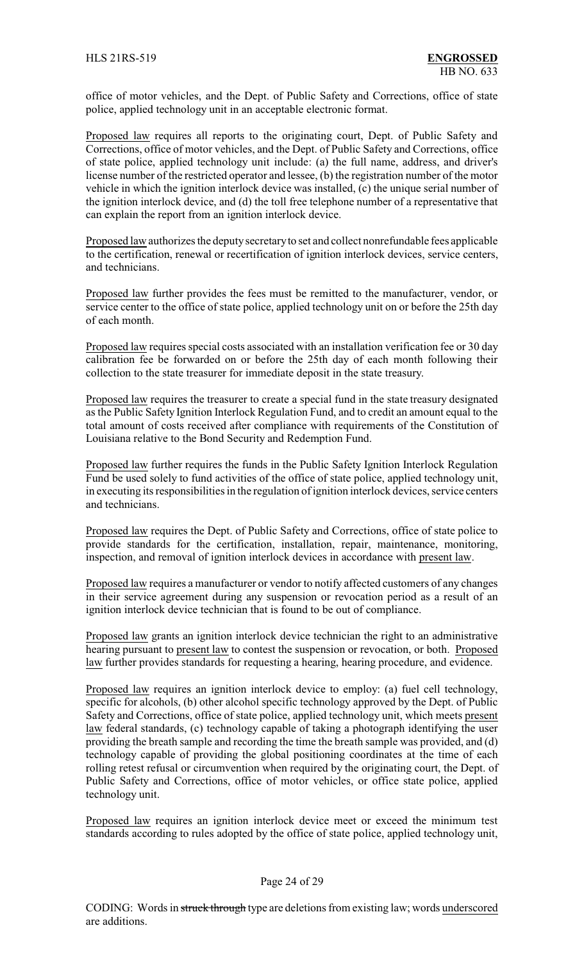office of motor vehicles, and the Dept. of Public Safety and Corrections, office of state police, applied technology unit in an acceptable electronic format.

Proposed law requires all reports to the originating court, Dept. of Public Safety and Corrections, office of motor vehicles, and the Dept. of Public Safety and Corrections, office of state police, applied technology unit include: (a) the full name, address, and driver's license number of the restricted operator and lessee, (b) the registration number of the motor vehicle in which the ignition interlock device was installed, (c) the unique serial number of the ignition interlock device, and (d) the toll free telephone number of a representative that can explain the report from an ignition interlock device.

Proposed law authorizes the deputy secretary to set and collect nonrefundable fees applicable to the certification, renewal or recertification of ignition interlock devices, service centers, and technicians.

Proposed law further provides the fees must be remitted to the manufacturer, vendor, or service center to the office of state police, applied technology unit on or before the 25th day of each month.

Proposed law requires special costs associated with an installation verification fee or 30 day calibration fee be forwarded on or before the 25th day of each month following their collection to the state treasurer for immediate deposit in the state treasury.

Proposed law requires the treasurer to create a special fund in the state treasury designated as the Public Safety Ignition Interlock Regulation Fund, and to credit an amount equal to the total amount of costs received after compliance with requirements of the Constitution of Louisiana relative to the Bond Security and Redemption Fund.

Proposed law further requires the funds in the Public Safety Ignition Interlock Regulation Fund be used solely to fund activities of the office of state police, applied technology unit, in executing its responsibilities in the regulation of ignition interlock devices, service centers and technicians.

Proposed law requires the Dept. of Public Safety and Corrections, office of state police to provide standards for the certification, installation, repair, maintenance, monitoring, inspection, and removal of ignition interlock devices in accordance with present law.

Proposed law requires a manufacturer or vendor to notify affected customers of any changes in their service agreement during any suspension or revocation period as a result of an ignition interlock device technician that is found to be out of compliance.

Proposed law grants an ignition interlock device technician the right to an administrative hearing pursuant to present law to contest the suspension or revocation, or both. Proposed law further provides standards for requesting a hearing, hearing procedure, and evidence.

Proposed law requires an ignition interlock device to employ: (a) fuel cell technology, specific for alcohols, (b) other alcohol specific technology approved by the Dept. of Public Safety and Corrections, office of state police, applied technology unit, which meets present law federal standards, (c) technology capable of taking a photograph identifying the user providing the breath sample and recording the time the breath sample was provided, and (d) technology capable of providing the global positioning coordinates at the time of each rolling retest refusal or circumvention when required by the originating court, the Dept. of Public Safety and Corrections, office of motor vehicles, or office state police, applied technology unit.

Proposed law requires an ignition interlock device meet or exceed the minimum test standards according to rules adopted by the office of state police, applied technology unit,

#### Page 24 of 29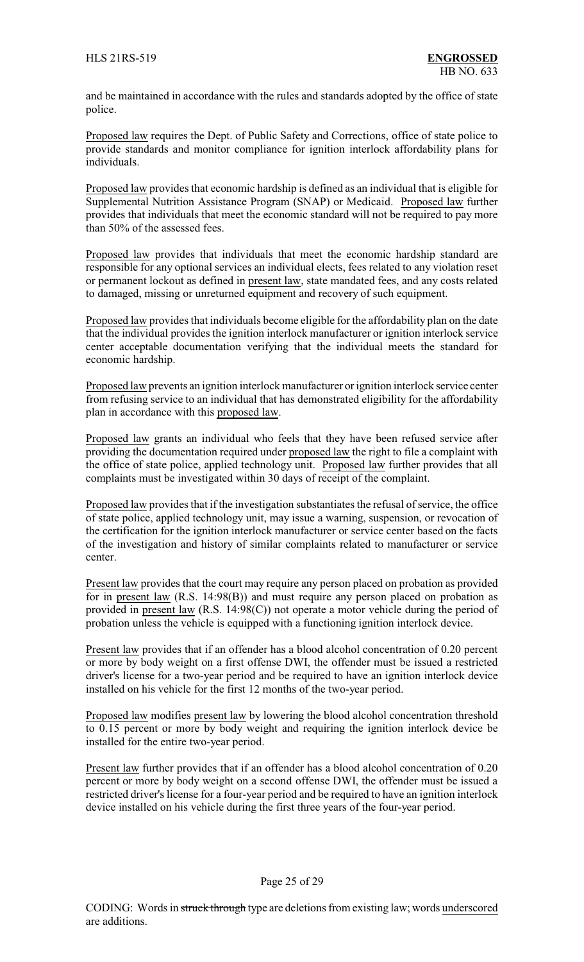and be maintained in accordance with the rules and standards adopted by the office of state police.

Proposed law requires the Dept. of Public Safety and Corrections, office of state police to provide standards and monitor compliance for ignition interlock affordability plans for individuals.

Proposed law provides that economic hardship is defined as an individual that is eligible for Supplemental Nutrition Assistance Program (SNAP) or Medicaid. Proposed law further provides that individuals that meet the economic standard will not be required to pay more than 50% of the assessed fees.

Proposed law provides that individuals that meet the economic hardship standard are responsible for any optional services an individual elects, fees related to any violation reset or permanent lockout as defined in present law, state mandated fees, and any costs related to damaged, missing or unreturned equipment and recovery of such equipment.

Proposed law provides that individuals become eligible for the affordability plan on the date that the individual provides the ignition interlock manufacturer or ignition interlock service center acceptable documentation verifying that the individual meets the standard for economic hardship.

Proposed law prevents an ignition interlock manufacturer or ignition interlock service center from refusing service to an individual that has demonstrated eligibility for the affordability plan in accordance with this proposed law.

Proposed law grants an individual who feels that they have been refused service after providing the documentation required under proposed law the right to file a complaint with the office of state police, applied technology unit. Proposed law further provides that all complaints must be investigated within 30 days of receipt of the complaint.

Proposed law provides that if the investigation substantiates the refusal of service, the office of state police, applied technology unit, may issue a warning, suspension, or revocation of the certification for the ignition interlock manufacturer or service center based on the facts of the investigation and history of similar complaints related to manufacturer or service center.

Present law provides that the court may require any person placed on probation as provided for in present law (R.S. 14:98(B)) and must require any person placed on probation as provided in present law (R.S. 14:98(C)) not operate a motor vehicle during the period of probation unless the vehicle is equipped with a functioning ignition interlock device.

Present law provides that if an offender has a blood alcohol concentration of 0.20 percent or more by body weight on a first offense DWI, the offender must be issued a restricted driver's license for a two-year period and be required to have an ignition interlock device installed on his vehicle for the first 12 months of the two-year period.

Proposed law modifies present law by lowering the blood alcohol concentration threshold to 0.15 percent or more by body weight and requiring the ignition interlock device be installed for the entire two-year period.

Present law further provides that if an offender has a blood alcohol concentration of 0.20 percent or more by body weight on a second offense DWI, the offender must be issued a restricted driver's license for a four-year period and be required to have an ignition interlock device installed on his vehicle during the first three years of the four-year period.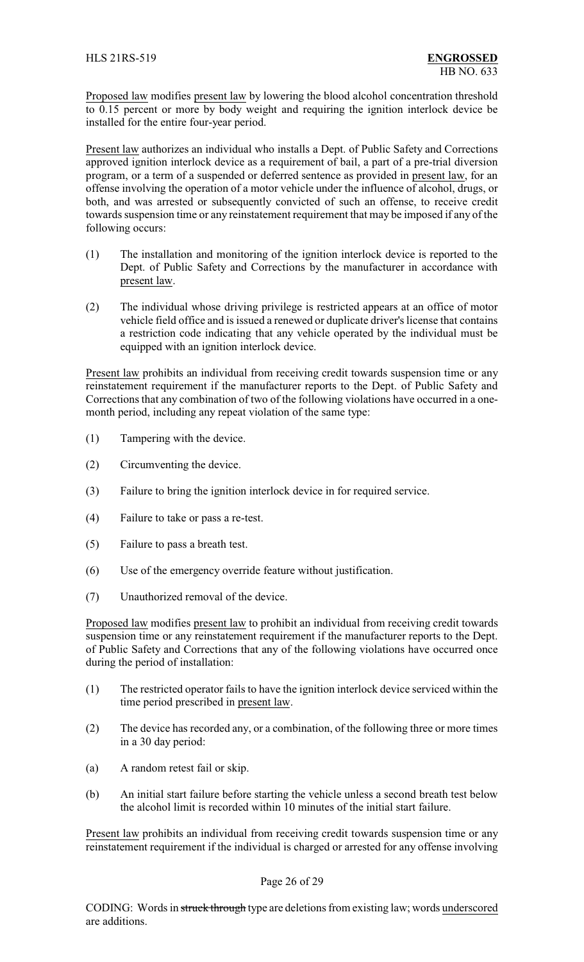Proposed law modifies present law by lowering the blood alcohol concentration threshold to 0.15 percent or more by body weight and requiring the ignition interlock device be installed for the entire four-year period.

Present law authorizes an individual who installs a Dept. of Public Safety and Corrections approved ignition interlock device as a requirement of bail, a part of a pre-trial diversion program, or a term of a suspended or deferred sentence as provided in present law, for an offense involving the operation of a motor vehicle under the influence of alcohol, drugs, or both, and was arrested or subsequently convicted of such an offense, to receive credit towards suspension time or any reinstatement requirement that may be imposed if any of the following occurs:

- (1) The installation and monitoring of the ignition interlock device is reported to the Dept. of Public Safety and Corrections by the manufacturer in accordance with present law.
- (2) The individual whose driving privilege is restricted appears at an office of motor vehicle field office and is issued a renewed or duplicate driver's license that contains a restriction code indicating that any vehicle operated by the individual must be equipped with an ignition interlock device.

Present law prohibits an individual from receiving credit towards suspension time or any reinstatement requirement if the manufacturer reports to the Dept. of Public Safety and Corrections that any combination of two of the following violations have occurred in a onemonth period, including any repeat violation of the same type:

- (1) Tampering with the device.
- (2) Circumventing the device.
- (3) Failure to bring the ignition interlock device in for required service.
- (4) Failure to take or pass a re-test.
- (5) Failure to pass a breath test.
- (6) Use of the emergency override feature without justification.
- (7) Unauthorized removal of the device.

Proposed law modifies present law to prohibit an individual from receiving credit towards suspension time or any reinstatement requirement if the manufacturer reports to the Dept. of Public Safety and Corrections that any of the following violations have occurred once during the period of installation:

- (1) The restricted operator fails to have the ignition interlock device serviced within the time period prescribed in present law.
- (2) The device has recorded any, or a combination, of the following three or more times in a 30 day period:
- (a) A random retest fail or skip.
- (b) An initial start failure before starting the vehicle unless a second breath test below the alcohol limit is recorded within 10 minutes of the initial start failure.

Present law prohibits an individual from receiving credit towards suspension time or any reinstatement requirement if the individual is charged or arrested for any offense involving

### Page 26 of 29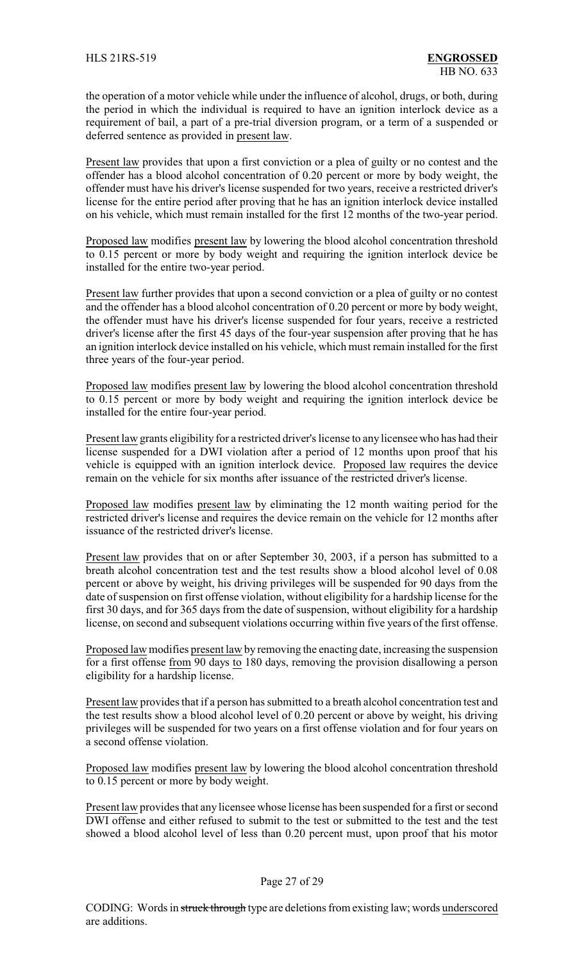the operation of a motor vehicle while under the influence of alcohol, drugs, or both, during the period in which the individual is required to have an ignition interlock device as a requirement of bail, a part of a pre-trial diversion program, or a term of a suspended or deferred sentence as provided in present law.

Present law provides that upon a first conviction or a plea of guilty or no contest and the offender has a blood alcohol concentration of 0.20 percent or more by body weight, the offender must have his driver's license suspended for two years, receive a restricted driver's license for the entire period after proving that he has an ignition interlock device installed on his vehicle, which must remain installed for the first 12 months of the two-year period.

Proposed law modifies present law by lowering the blood alcohol concentration threshold to 0.15 percent or more by body weight and requiring the ignition interlock device be installed for the entire two-year period.

Present law further provides that upon a second conviction or a plea of guilty or no contest and the offender has a blood alcohol concentration of 0.20 percent or more by body weight, the offender must have his driver's license suspended for four years, receive a restricted driver's license after the first 45 days of the four-year suspension after proving that he has an ignition interlock device installed on his vehicle, which must remain installed for the first three years of the four-year period.

Proposed law modifies present law by lowering the blood alcohol concentration threshold to 0.15 percent or more by body weight and requiring the ignition interlock device be installed for the entire four-year period.

Present law grants eligibility for a restricted driver's license to any licensee who has had their license suspended for a DWI violation after a period of 12 months upon proof that his vehicle is equipped with an ignition interlock device. Proposed law requires the device remain on the vehicle for six months after issuance of the restricted driver's license.

Proposed law modifies present law by eliminating the 12 month waiting period for the restricted driver's license and requires the device remain on the vehicle for 12 months after issuance of the restricted driver's license.

Present law provides that on or after September 30, 2003, if a person has submitted to a breath alcohol concentration test and the test results show a blood alcohol level of 0.08 percent or above by weight, his driving privileges will be suspended for 90 days from the date of suspension on first offense violation, without eligibility for a hardship license for the first 30 days, and for 365 days from the date of suspension, without eligibility for a hardship license, on second and subsequent violations occurring within five years of the first offense.

Proposed law modifies present law by removing the enacting date, increasing the suspension for a first offense from 90 days to 180 days, removing the provision disallowing a person eligibility for a hardship license.

Present law provides that if a person has submitted to a breath alcohol concentration test and the test results show a blood alcohol level of 0.20 percent or above by weight, his driving privileges will be suspended for two years on a first offense violation and for four years on a second offense violation.

Proposed law modifies present law by lowering the blood alcohol concentration threshold to 0.15 percent or more by body weight.

Present law provides that any licensee whose license has been suspended for a first or second DWI offense and either refused to submit to the test or submitted to the test and the test showed a blood alcohol level of less than 0.20 percent must, upon proof that his motor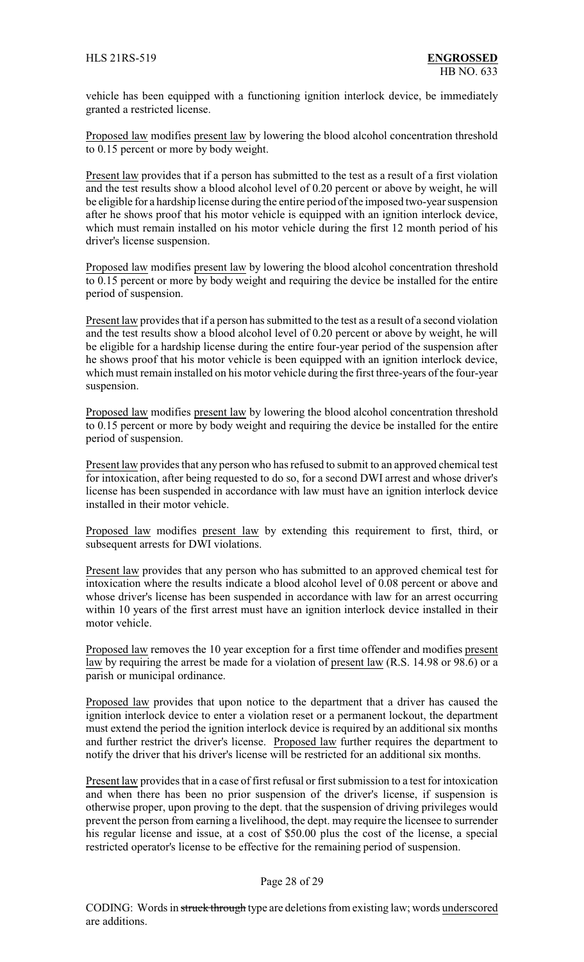vehicle has been equipped with a functioning ignition interlock device, be immediately granted a restricted license.

Proposed law modifies present law by lowering the blood alcohol concentration threshold to 0.15 percent or more by body weight.

Present law provides that if a person has submitted to the test as a result of a first violation and the test results show a blood alcohol level of 0.20 percent or above by weight, he will be eligible for a hardship license during the entire period of the imposed two-year suspension after he shows proof that his motor vehicle is equipped with an ignition interlock device, which must remain installed on his motor vehicle during the first 12 month period of his driver's license suspension.

Proposed law modifies present law by lowering the blood alcohol concentration threshold to 0.15 percent or more by body weight and requiring the device be installed for the entire period of suspension.

Present law provides that if a person has submitted to the test as a result of a second violation and the test results show a blood alcohol level of 0.20 percent or above by weight, he will be eligible for a hardship license during the entire four-year period of the suspension after he shows proof that his motor vehicle is been equipped with an ignition interlock device, which must remain installed on his motor vehicle during the first three-years of the four-year suspension.

Proposed law modifies present law by lowering the blood alcohol concentration threshold to 0.15 percent or more by body weight and requiring the device be installed for the entire period of suspension.

Present law provides that any person who has refused to submit to an approved chemical test for intoxication, after being requested to do so, for a second DWI arrest and whose driver's license has been suspended in accordance with law must have an ignition interlock device installed in their motor vehicle.

Proposed law modifies present law by extending this requirement to first, third, or subsequent arrests for DWI violations.

Present law provides that any person who has submitted to an approved chemical test for intoxication where the results indicate a blood alcohol level of 0.08 percent or above and whose driver's license has been suspended in accordance with law for an arrest occurring within 10 years of the first arrest must have an ignition interlock device installed in their motor vehicle.

Proposed law removes the 10 year exception for a first time offender and modifies present law by requiring the arrest be made for a violation of present law (R.S. 14.98 or 98.6) or a parish or municipal ordinance.

Proposed law provides that upon notice to the department that a driver has caused the ignition interlock device to enter a violation reset or a permanent lockout, the department must extend the period the ignition interlock device is required by an additional six months and further restrict the driver's license. Proposed law further requires the department to notify the driver that his driver's license will be restricted for an additional six months.

Present law provides that in a case of first refusal or first submission to a test for intoxication and when there has been no prior suspension of the driver's license, if suspension is otherwise proper, upon proving to the dept. that the suspension of driving privileges would prevent the person from earning a livelihood, the dept. may require the licensee to surrender his regular license and issue, at a cost of \$50.00 plus the cost of the license, a special restricted operator's license to be effective for the remaining period of suspension.

#### Page 28 of 29